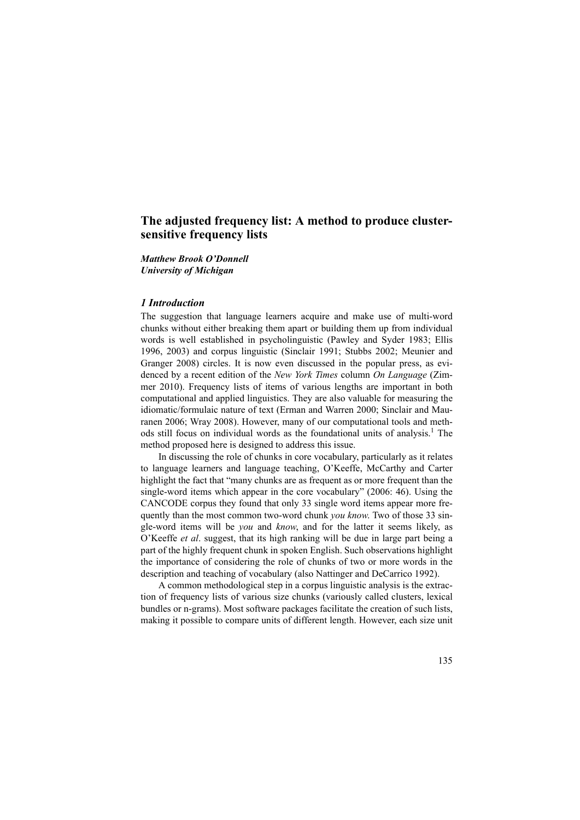# **The adjusted frequency list: A method to produce clustersensitive frequency lists**

### *Matthew Brook O'Donnell University of Michigan*

### *1 Introduction*

The suggestion that language learners acquire and make use of multi-word chunks without either breaking them apart or building them up from individual words is well established in psycholinguistic (Pawley and Syder 1983; Ellis 1996, 2003) and corpus linguistic (Sinclair 1991; Stubbs 2002; Meunier and Granger 2008) circles. It is now even discussed in the popular press, as evidenced by a recent edition of the *New York Times* column *On Language* (Zimmer 2010). Frequency lists of items of various lengths are important in both computational and applied linguistics. They are also valuable for measuring the idiomatic/formulaic nature of text (Erman and Warren 2000; Sinclair and Mauranen 2006; Wray 2008). However, many of our computational tools and methods still focus on individual words as the foundational units of analysis.<sup>1</sup> The method proposed here is designed to address this issue.

In discussing the role of chunks in core vocabulary, particularly as it relates to language learners and language teaching, O'Keeffe, McCarthy and Carter highlight the fact that "many chunks are as frequent as or more frequent than the single-word items which appear in the core vocabulary" (2006: 46). Using the CANCODE corpus they found that only 33 single word items appear more frequently than the most common two-word chunk *you know*. Two of those 33 single-word items will be *you* and *know*, and for the latter it seems likely, as O'Keeffe *et al*. suggest, that its high ranking will be due in large part being a part of the highly frequent chunk in spoken English. Such observations highlight the importance of considering the role of chunks of two or more words in the description and teaching of vocabulary (also Nattinger and DeCarrico 1992).

A common methodological step in a corpus linguistic analysis is the extraction of frequency lists of various size chunks (variously called clusters, lexical bundles or n-grams). Most software packages facilitate the creation of such lists, making it possible to compare units of different length. However, each size unit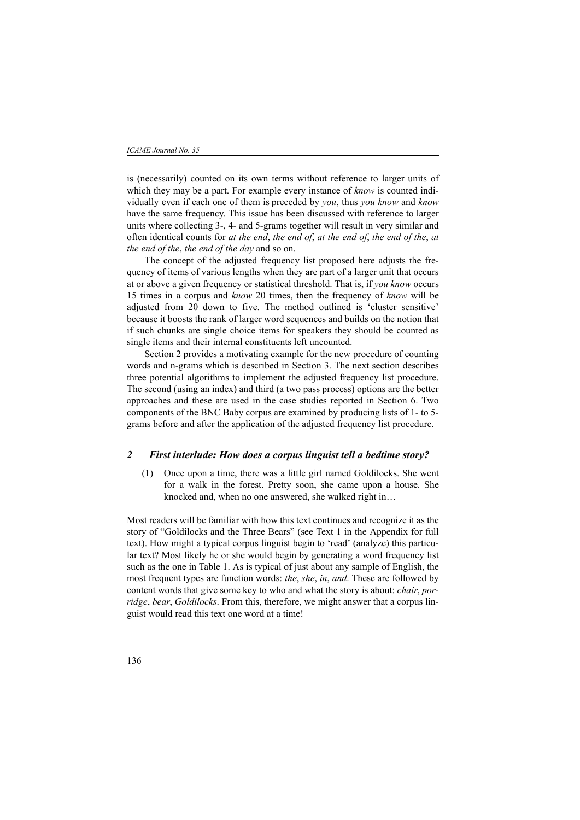is (necessarily) counted on its own terms without reference to larger units of which they may be a part. For example every instance of *know* is counted individually even if each one of them is preceded by *you*, thus *you know* and *know* have the same frequency. This issue has been discussed with reference to larger units where collecting 3-, 4- and 5-grams together will result in very similar and often identical counts for *at the end*, *the end of*, *at the end of*, *the end of the*, *at the end of the*, *the end of the day* and so on.

The concept of the adjusted frequency list proposed here adjusts the frequency of items of various lengths when they are part of a larger unit that occurs at or above a given frequency or statistical threshold. That is, if *you know* occurs 15 times in a corpus and *know* 20 times, then the frequency of *know* will be adjusted from 20 down to five. The method outlined is 'cluster sensitive' because it boosts the rank of larger word sequences and builds on the notion that if such chunks are single choice items for speakers they should be counted as single items and their internal constituents left uncounted.

Section 2 provides a motivating example for the new procedure of counting words and n-grams which is described in Section 3. The next section describes three potential algorithms to implement the adjusted frequency list procedure. The second (using an index) and third (a two pass process) options are the better approaches and these are used in the case studies reported in Section 6. Two components of the BNC Baby corpus are examined by producing lists of 1- to 5 grams before and after the application of the adjusted frequency list procedure.

### *2 First interlude: How does a corpus linguist tell a bedtime story?*

(1) Once upon a time, there was a little girl named Goldilocks. She went for a walk in the forest. Pretty soon, she came upon a house. She knocked and, when no one answered, she walked right in…

Most readers will be familiar with how this text continues and recognize it as the story of "Goldilocks and the Three Bears" (see Text 1 in the Appendix for full text). How might a typical corpus linguist begin to 'read' (analyze) this particular text? Most likely he or she would begin by generating a word frequency list such as the one in Table 1. As is typical of just about any sample of English, the most frequent types are function words: *the*, *she*, *in*, *and*. These are followed by content words that give some key to who and what the story is about: *chair*, *porridge*, *bear*, *Goldilocks*. From this, therefore, we might answer that a corpus linguist would read this text one word at a time!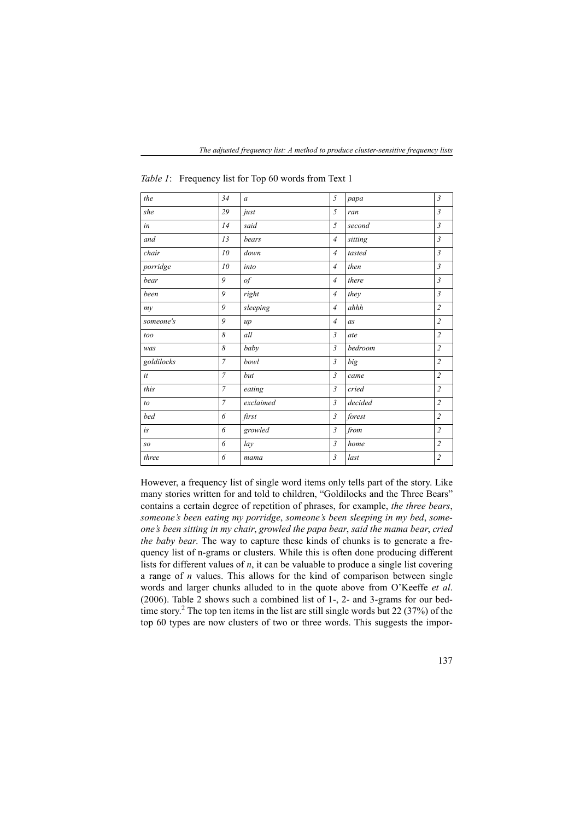| the              | 34             | $\boldsymbol{a}$ | 5              | papa    | $\mathfrak{Z}$ |
|------------------|----------------|------------------|----------------|---------|----------------|
| she              | 29             | just             | 5              | ran     | $\mathfrak{Z}$ |
| in               | 14             | said             | 5              | second  | $\mathfrak{Z}$ |
| and              | 13             | bears            | $\overline{4}$ | sitting | $\mathfrak{Z}$ |
| chair            | 10             | down             | $\overline{4}$ | tasted  | $\mathfrak{Z}$ |
| porridge         | 10             | into             | $\overline{4}$ | then    | $\mathfrak{Z}$ |
| bear             | 9              | $\mathfrak{g}$   | $\overline{4}$ | there   | $\mathfrak{Z}$ |
| been             | 9              | right            | $\overline{4}$ | they    | $\mathfrak{Z}$ |
| my               | 9              | sleeping         | $\overline{4}$ | ahhh    | $\overline{2}$ |
| someone's        | 9              | up               | $\overline{4}$ | as      | $\overline{2}$ |
| too              | 8              | all              | $\mathfrak{Z}$ | ate     | $\overline{c}$ |
| was              | 8              | baby             | 3              | bedroom | $\overline{2}$ |
| goldilocks       | $\overline{7}$ | bowl             | $\mathfrak{Z}$ | big     | $\overline{2}$ |
| $\it{it}$        | $\overline{7}$ | but              | $\mathfrak{Z}$ | came    | $\overline{c}$ |
| this             | $\overline{7}$ | eating           | $\mathfrak{Z}$ | cried   | $\overline{2}$ |
| to               | $\overline{7}$ | exclaimed        | $\mathfrak{Z}$ | decided | $\overline{2}$ |
| bed              | 6              | first            | $\mathfrak{Z}$ | forest  | $\overline{c}$ |
| $\dot{\imath} s$ | 6              | growled          | $\mathfrak{Z}$ | from    | $\overline{2}$ |
| SO               | 6              | lay              | $\mathfrak{Z}$ | $home$  | $\overline{c}$ |
| three            | 6              | mama             | 3              | last    | $\overline{2}$ |

*Table 1*: Frequency list for Top 60 words from Text 1

However, a frequency list of single word items only tells part of the story. Like many stories written for and told to children, "Goldilocks and the Three Bears" contains a certain degree of repetition of phrases, for example, *the three bears*, *someone's been eating my porridge*, *someone's been sleeping in my bed*, *someone's been sitting in my chair*, *growled the papa bear*, *said the mama bear*, *cried the baby bear*. The way to capture these kinds of chunks is to generate a frequency list of n-grams or clusters. While this is often done producing different lists for different values of *n*, it can be valuable to produce a single list covering a range of *n* values. This allows for the kind of comparison between single words and larger chunks alluded to in the quote above from O'Keeffe *et al*. (2006). Table 2 shows such a combined list of 1-, 2- and 3-grams for our bedtime story.<sup>2</sup> The top ten items in the list are still single words but 22 (37%) of the top 60 types are now clusters of two or three words. This suggests the impor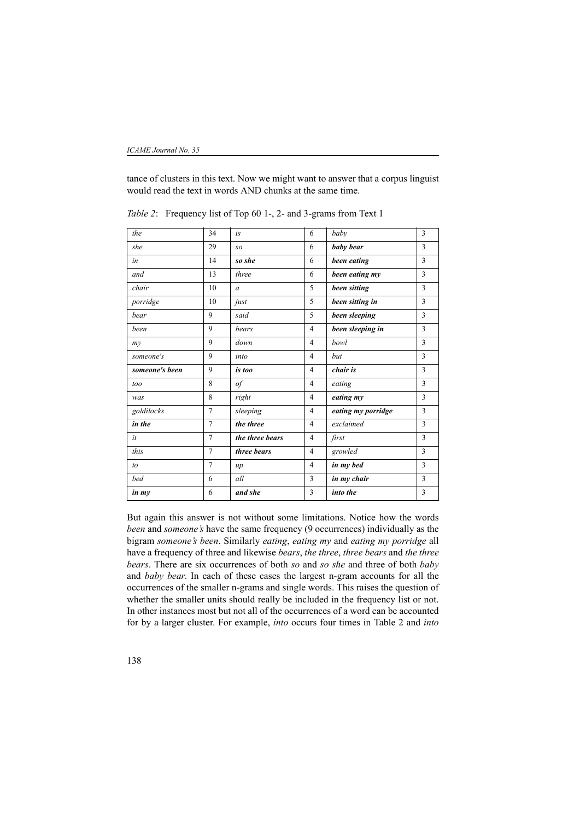tance of clusters in this text. Now we might want to answer that a corpus linguist would read the text in words AND chunks at the same time.

| the            | 34             | is              | 6              | baby               | 3 |
|----------------|----------------|-----------------|----------------|--------------------|---|
| she            | 29             | SO              | 6              | baby bear          | 3 |
| in             | 14             | so she          | 6              | been eating        | 3 |
| and            | 13             | three           | 6              | been eating my     | 3 |
| chair          | 10             | $\alpha$        | 5              | been sitting       | 3 |
| porridge       | 10             | just            | 5              | been sitting in    | 3 |
| bear           | 9              | said            | 5              | been sleeping      | 3 |
| been           | 9              | bears           | $\overline{4}$ | been sleeping in   | 3 |
| $m$ y          | 9              | down            | $\overline{4}$ | bowl               | 3 |
| someone's      | 9              | into            | $\overline{4}$ | but                | 3 |
| someone's been | 9              | is too          | $\overline{4}$ | chair is           | 3 |
| too            | 8              | $\circ f$       | $\overline{4}$ | eating             | 3 |
| was            | 8              | right           | $\overline{4}$ | eating my          | 3 |
| goldilocks     | $\overline{7}$ | sleeping        | $\overline{4}$ | eating my porridge | 3 |
| in the         | $\overline{7}$ | the three       | $\overline{4}$ | exclaimed          | 3 |
| it             | $\overline{7}$ | the three bears | $\overline{4}$ | first              | 3 |
| this           | $\overline{7}$ | three bears     | $\overline{4}$ | growled            | 3 |
| to             | 7              | $\mu$           | $\overline{4}$ | in my bed          | 3 |
| bed            | 6              | all             | 3              | in my chair        | 3 |
| in my          | 6              | and she         | 3              | into the           | 3 |

*Table 2*: Frequency list of Top 60 1-, 2- and 3-grams from Text 1

But again this answer is not without some limitations. Notice how the words *been* and *someone's* have the same frequency (9 occurrences) individually as the bigram *someone's been*. Similarly *eating*, *eating my* and *eating my porridge* all have a frequency of three and likewise *bears*, *the three*, *three bears* and *the three bears*. There are six occurrences of both *so* and *so she* and three of both *baby* and *baby bear*. In each of these cases the largest n-gram accounts for all the occurrences of the smaller n-grams and single words. This raises the question of whether the smaller units should really be included in the frequency list or not. In other instances most but not all of the occurrences of a word can be accounted for by a larger cluster. For example, *into* occurs four times in Table 2 and *into*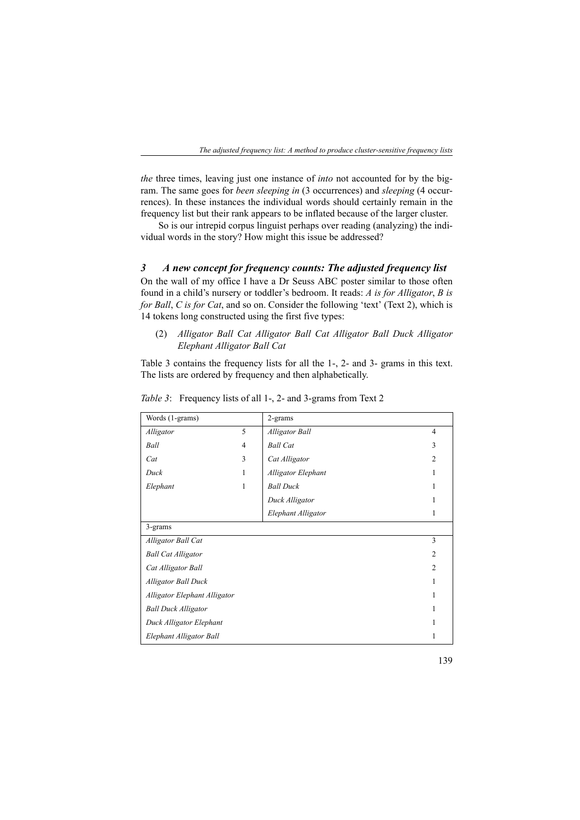*the* three times, leaving just one instance of *into* not accounted for by the bigram. The same goes for *been sleeping in* (3 occurrences) and *sleeping* (4 occurrences). In these instances the individual words should certainly remain in the frequency list but their rank appears to be inflated because of the larger cluster.

So is our intrepid corpus linguist perhaps over reading (analyzing) the individual words in the story? How might this issue be addressed?

### *3 A new concept for frequency counts: The adjusted frequency list*

On the wall of my office I have a Dr Seuss ABC poster similar to those often found in a child's nursery or toddler's bedroom. It reads: *A is for Alligator*, *B is for Ball*, *C is for Cat*, and so on. Consider the following 'text' (Text 2), which is 14 tokens long constructed using the first five types:

### (2) *Alligator Ball Cat Alligator Ball Cat Alligator Ball Duck Alligator Elephant Alligator Ball Cat*

Table 3 contains the frequency lists for all the 1-, 2- and 3- grams in this text. The lists are ordered by frequency and then alphabetically.

| Words (1-grams)              |                | 2-grams               |                |
|------------------------------|----------------|-----------------------|----------------|
| Alligator                    | 5              | <b>Alligator Ball</b> | 4              |
| Ball                         | $\overline{4}$ | <b>Ball Cat</b>       | 3              |
| Cat                          | 3              | Cat Alligator         | $\overline{2}$ |
| Duck                         | 1              | Alligator Elephant    |                |
| Elephant                     | 1              | <b>Ball Duck</b>      |                |
|                              |                | Duck Alligator        |                |
|                              |                | Elephant Alligator    |                |
| 3-grams                      |                |                       |                |
| Alligator Ball Cat           |                |                       | 3              |
| <b>Ball Cat Alligator</b>    |                |                       | $\overline{2}$ |
| Cat Alligator Ball           |                |                       | $\overline{2}$ |
| <b>Alligator Ball Duck</b>   |                |                       |                |
| Alligator Elephant Alligator |                |                       |                |
| <b>Ball Duck Alligator</b>   |                |                       |                |
| Duck Alligator Elephant      |                |                       |                |
| Elephant Alligator Ball      |                |                       |                |

*Table 3*: Frequency lists of all 1-, 2- and 3-grams from Text 2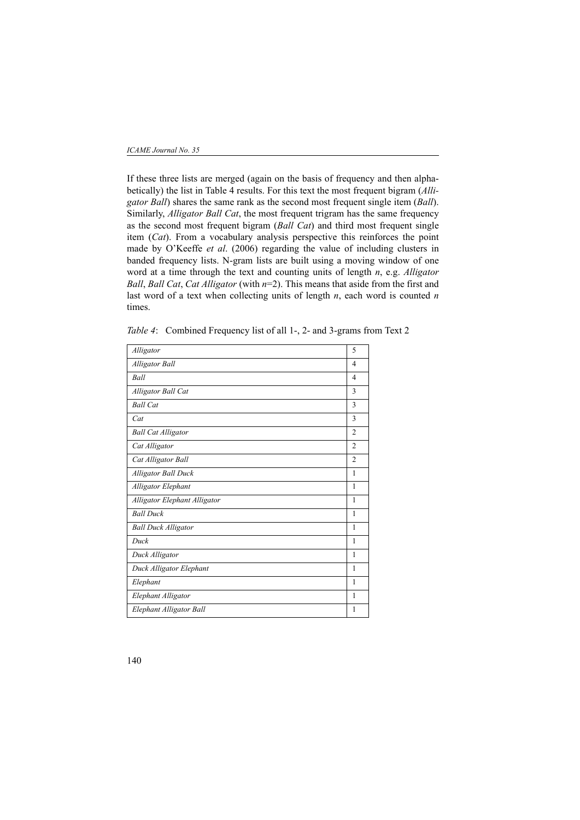If these three lists are merged (again on the basis of frequency and then alphabetically) the list in Table 4 results. For this text the most frequent bigram (*Alligator Ball*) shares the same rank as the second most frequent single item (*Ball*). Similarly, *Alligator Ball Cat*, the most frequent trigram has the same frequency as the second most frequent bigram (*Ball Cat*) and third most frequent single item (*Cat*). From a vocabulary analysis perspective this reinforces the point made by O'Keeffe *et al*. (2006) regarding the value of including clusters in banded frequency lists. N-gram lists are built using a moving window of one word at a time through the text and counting units of length *n*, e.g. *Alligator Ball*, *Ball Cat*, *Cat Alligator* (with *n*=2). This means that aside from the first and last word of a text when collecting units of length *n*, each word is counted *n* times.

| Alligator                    | 5              |
|------------------------------|----------------|
| <b>Alligator Ball</b>        | $\overline{4}$ |
| Ball                         | $\overline{4}$ |
| Alligator Ball Cat           | 3              |
| <b>Ball Cat</b>              | 3              |
| Cat                          | 3              |
| <b>Ball Cat Alligator</b>    | $\overline{2}$ |
| Cat Alligator                | $\overline{c}$ |
| Cat Alligator Ball           | $\overline{c}$ |
| Alligator Ball Duck          | 1              |
| Alligator Elephant           | 1              |
| Alligator Elephant Alligator | 1              |
| <b>Ball Duck</b>             | 1              |
| <b>Ball Duck Alligator</b>   | 1              |
| Duck                         | 1              |
| Duck Alligator               | 1              |
| Duck Alligator Elephant      | 1              |
| Elephant                     | 1              |
| Elephant Alligator           | 1              |
| Elephant Alligator Ball      | 1              |

*Table 4*: Combined Frequency list of all 1-, 2- and 3-grams from Text 2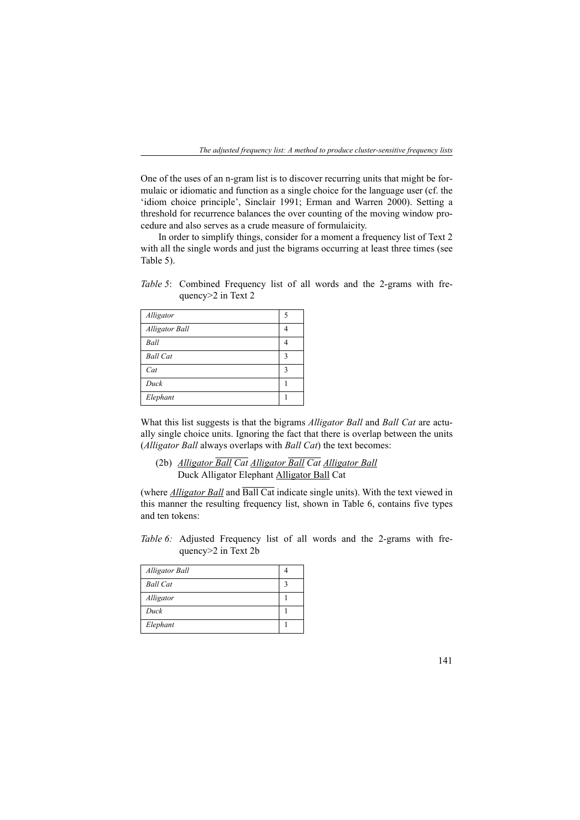One of the uses of an n-gram list is to discover recurring units that might be formulaic or idiomatic and function as a single choice for the language user (cf. the 'idiom choice principle', Sinclair 1991; Erman and Warren 2000). Setting a threshold for recurrence balances the over counting of the moving window procedure and also serves as a crude measure of formulaicity.

In order to simplify things, consider for a moment a frequency list of Text 2 with all the single words and just the bigrams occurring at least three times (see Table 5).

*Table 5*: Combined Frequency list of all words and the 2-grams with frequency>2 in Text 2

| Alligator             |   |
|-----------------------|---|
| <b>Alligator Ball</b> |   |
| Ball                  |   |
| <b>Ball Cat</b>       | 3 |
| Cat                   | 3 |
| Duck                  |   |
| Elephant              |   |

What this list suggests is that the bigrams *Alligator Ball* and *Ball Cat* are actually single choice units. Ignoring the fact that there is overlap between the units (*Alligator Ball* always overlaps with *Ball Cat*) the text becomes:

(2b) *Alligator Ball Cat Alligator Ball Cat Alligator Ball* Duck Alligator Elephant Alligator Ball Cat

(where *Alligator Ball* and Ball Cat indicate single units). With the text viewed in this manner the resulting frequency list, shown in Table 6, contains five types and ten tokens:

*Table 6:* Adjusted Frequency list of all words and the 2-grams with frequency>2 in Text 2b

| Alligator Ball  |  |
|-----------------|--|
| <b>Ball Cat</b> |  |
| Alligator       |  |
| Duck            |  |
| Elephant        |  |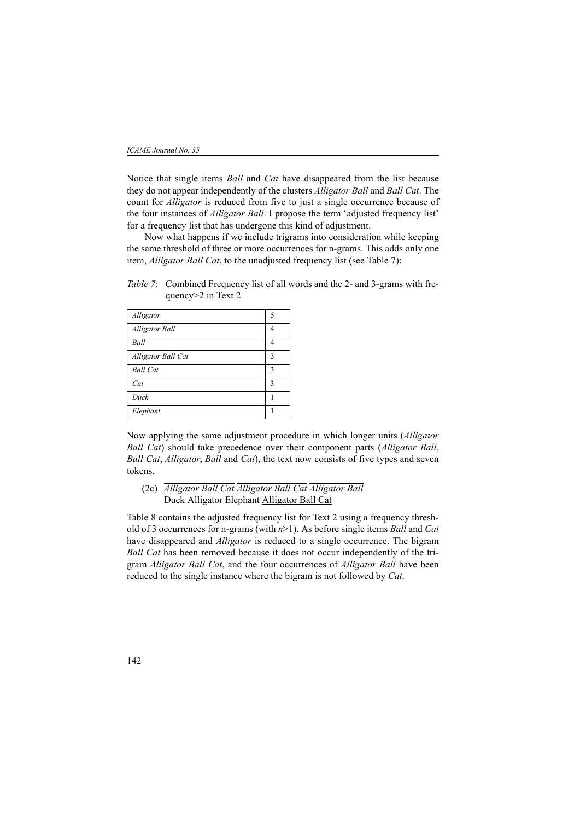Notice that single items *Ball* and *Cat* have disappeared from the list because they do not appear independently of the clusters *Alligator Ball* and *Ball Cat*. The count for *Alligator* is reduced from five to just a single occurrence because of the four instances of *Alligator Ball*. I propose the term 'adjusted frequency list' for a frequency list that has undergone this kind of adjustment.

Now what happens if we include trigrams into consideration while keeping the same threshold of three or more occurrences for n-grams. This adds only one item, *Alligator Ball Cat*, to the unadjusted frequency list (see Table 7):

*Table 7*: Combined Frequency list of all words and the 2- and 3-grams with frequency>2 in Text 2

| Alligator<br>5<br><b>Alligator Ball</b><br>4<br>Ball<br>4<br>Alligator Ball Cat<br>3<br><b>Ball Cat</b><br>3<br>Cat<br>3<br>Duck |          |  |
|----------------------------------------------------------------------------------------------------------------------------------|----------|--|
|                                                                                                                                  |          |  |
|                                                                                                                                  |          |  |
|                                                                                                                                  |          |  |
|                                                                                                                                  |          |  |
|                                                                                                                                  |          |  |
|                                                                                                                                  |          |  |
|                                                                                                                                  |          |  |
|                                                                                                                                  | Elephant |  |

Now applying the same adjustment procedure in which longer units (*Alligator Ball Cat*) should take precedence over their component parts (*Alligator Ball*, *Ball Cat*, *Alligator*, *Ball* and *Cat*), the text now consists of five types and seven tokens.

(2c) *Alligator Ball Cat Alligator Ball Cat Alligator Ball* Duck Alligator Elephant Alligator Ball Cat

Table 8 contains the adjusted frequency list for Text 2 using a frequency threshold of 3 occurrences for n-grams (with *n*>1). As before single items *Ball* and *Cat* have disappeared and *Alligator* is reduced to a single occurrence. The bigram *Ball Cat* has been removed because it does not occur independently of the trigram *Alligator Ball Cat*, and the four occurrences of *Alligator Ball* have been reduced to the single instance where the bigram is not followed by *Cat*.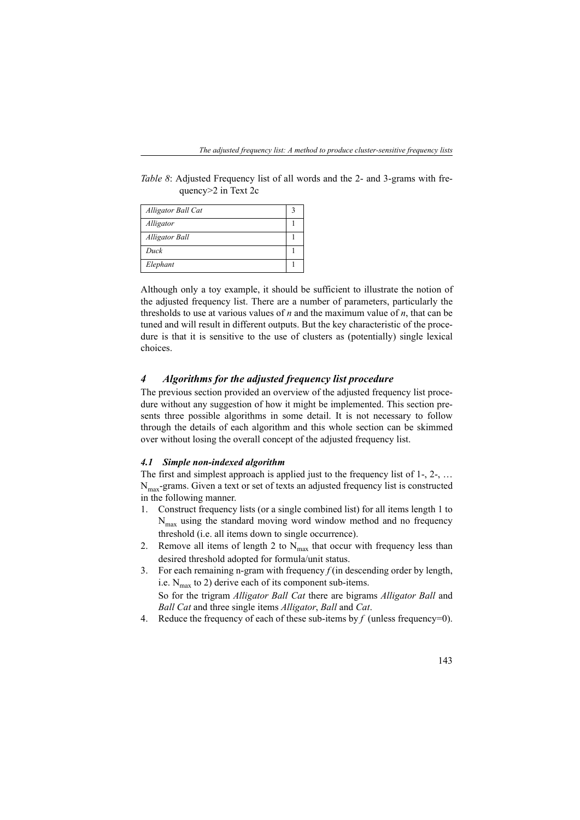*Table 8*: Adjusted Frequency list of all words and the 2- and 3-grams with frequency>2 in Text 2c

| Alligator Ball Cat    |  |
|-----------------------|--|
| Alligator             |  |
| <b>Alligator Ball</b> |  |
| Duck                  |  |
| Elephant              |  |

Although only a toy example, it should be sufficient to illustrate the notion of the adjusted frequency list. There are a number of parameters, particularly the thresholds to use at various values of *n* and the maximum value of *n*, that can be tuned and will result in different outputs. But the key characteristic of the procedure is that it is sensitive to the use of clusters as (potentially) single lexical choices.

### *4 Algorithms for the adjusted frequency list procedure*

The previous section provided an overview of the adjusted frequency list procedure without any suggestion of how it might be implemented. This section presents three possible algorithms in some detail. It is not necessary to follow through the details of each algorithm and this whole section can be skimmed over without losing the overall concept of the adjusted frequency list.

### *4.1 Simple non-indexed algorithm*

The first and simplest approach is applied just to the frequency list of 1-, 2-, …  $N<sub>max</sub>$ -grams. Given a text or set of texts an adjusted frequency list is constructed in the following manner.

- 1. Construct frequency lists (or a single combined list) for all items length 1 to  $N_{\text{max}}$  using the standard moving word window method and no frequency threshold (i.e. all items down to single occurrence).
- 2. Remove all items of length 2 to  $N_{\text{max}}$  that occur with frequency less than desired threshold adopted for formula/unit status.
- 3. For each remaining n-gram with frequency  $f$  (in descending order by length, i.e.  $N_{\text{max}}$  to 2) derive each of its component sub-items. So for the trigram *Alligator Ball Cat* there are bigrams *Alligator Ball* and *Ball Cat* and three single items *Alligator*, *Ball* and *Cat*.
- 4. Reduce the frequency of each of these sub-items by *f* (unless frequency=0).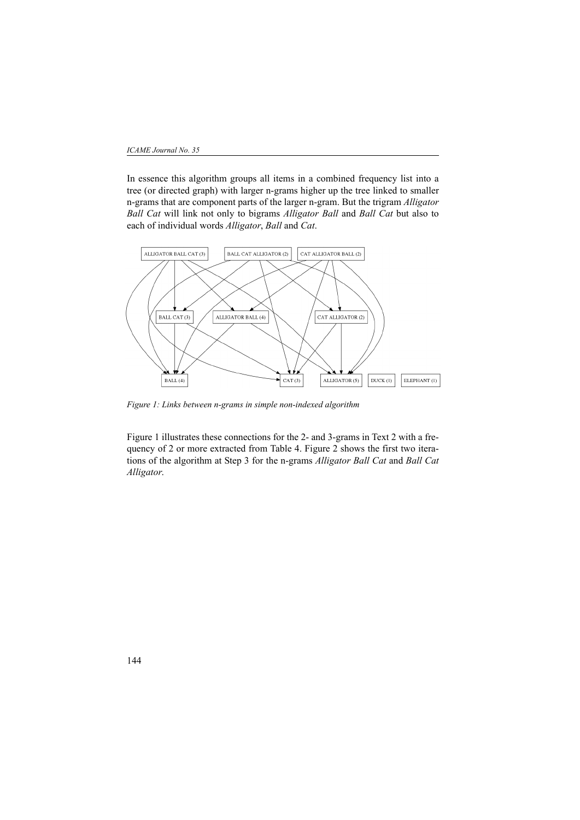In essence this algorithm groups all items in a combined frequency list into a tree (or directed graph) with larger n-grams higher up the tree linked to smaller n-grams that are component parts of the larger n-gram. But the trigram *Alligator Ball Cat* will link not only to bigrams *Alligator Ball* and *Ball Cat* but also to each of individual words *Alligator*, *Ball* and *Cat*.



*Figure 1: Links between n-grams in simple non-indexed algorithm*

Figure 1 illustrates these connections for the 2- and 3-grams in Text 2 with a frequency of 2 or more extracted from Table 4. Figure 2 shows the first two iterations of the algorithm at Step 3 for the n-grams *Alligator Ball Cat* and *Ball Cat Alligator*.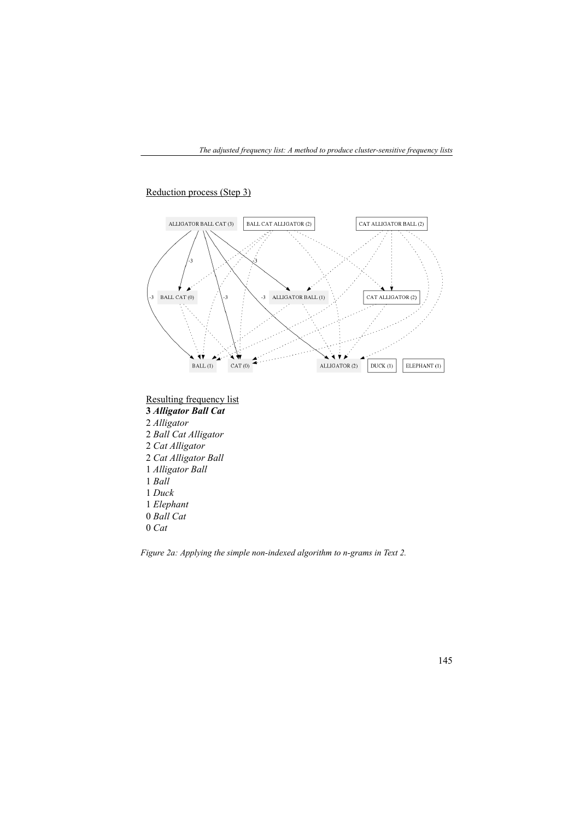## Reduction process (Step 3)



*Figure 2a: Applying the simple non-indexed algorithm to n-grams in Text 2.*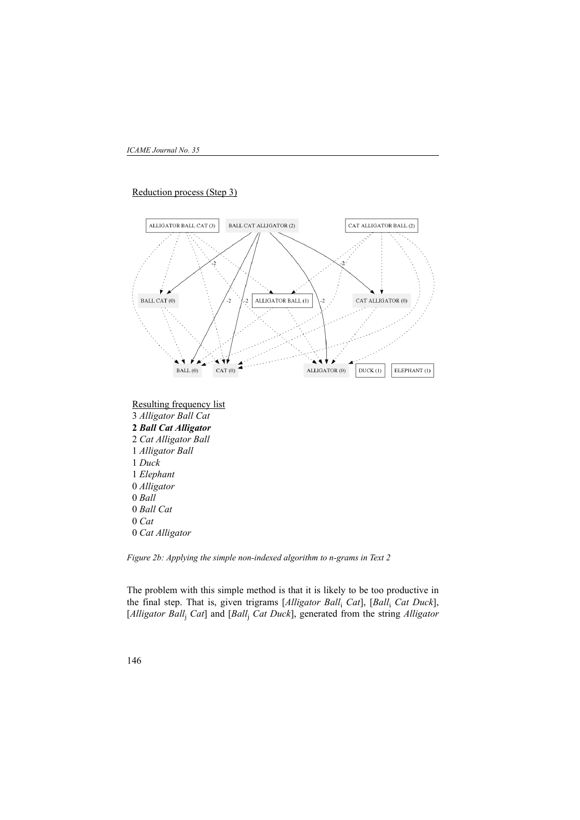### Reduction process (Step 3)



*Figure 2b: Applying the simple non-indexed algorithm to n-grams in Text 2*

The problem with this simple method is that it is likely to be too productive in the final step. That is, given trigrams [*Alligator Ball*<sup>i</sup> *Cat*], [*Ball*<sup>i</sup> *Cat Duck*], [*Alligator Ball*<sup>j</sup> *Cat*] and [*Ball*<sup>j</sup> *Cat Duck*], generated from the string *Alligator*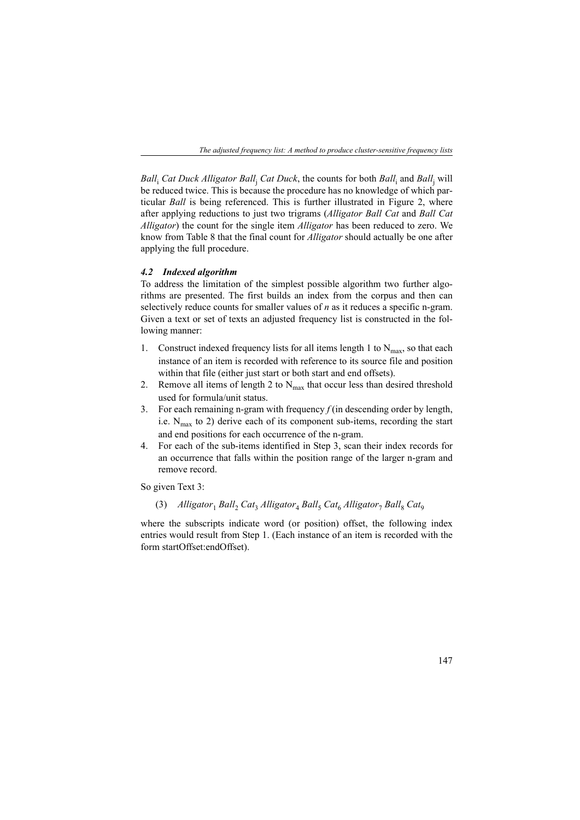*Ball*<sub>i</sub> Cat Duck Alligator Ball<sub>j</sub> Cat Duck, the counts for both *Ball*<sub>i</sub> and *Ball*<sub>j</sub> will be reduced twice. This is because the procedure has no knowledge of which particular *Ball* is being referenced. This is further illustrated in Figure 2, where after applying reductions to just two trigrams (*Alligator Ball Cat* and *Ball Cat Alligator*) the count for the single item *Alligator* has been reduced to zero. We know from Table 8 that the final count for *Alligator* should actually be one after applying the full procedure.

#### *4.2 Indexed algorithm*

To address the limitation of the simplest possible algorithm two further algorithms are presented. The first builds an index from the corpus and then can selectively reduce counts for smaller values of *n* as it reduces a specific n-gram. Given a text or set of texts an adjusted frequency list is constructed in the following manner:

- 1. Construct indexed frequency lists for all items length 1 to  $N_{\text{max}}$ , so that each instance of an item is recorded with reference to its source file and position within that file (either just start or both start and end offsets).
- 2. Remove all items of length 2 to  $N_{\text{max}}$  that occur less than desired threshold used for formula/unit status.
- 3. For each remaining n-gram with frequency  $f$  (in descending order by length, i.e.  $N_{\text{max}}$  to 2) derive each of its component sub-items, recording the start and end positions for each occurrence of the n-gram.
- 4. For each of the sub-items identified in Step 3, scan their index records for an occurrence that falls within the position range of the larger n-gram and remove record.

So given Text 3:

(3)  $Alligator_1 Ball_2 Cat_3 Alligator_4 Ball_5 Cat_6 Alligator_7 Ball_8 Cat_9$ 

where the subscripts indicate word (or position) offset, the following index entries would result from Step 1. (Each instance of an item is recorded with the form startOffset:endOffset).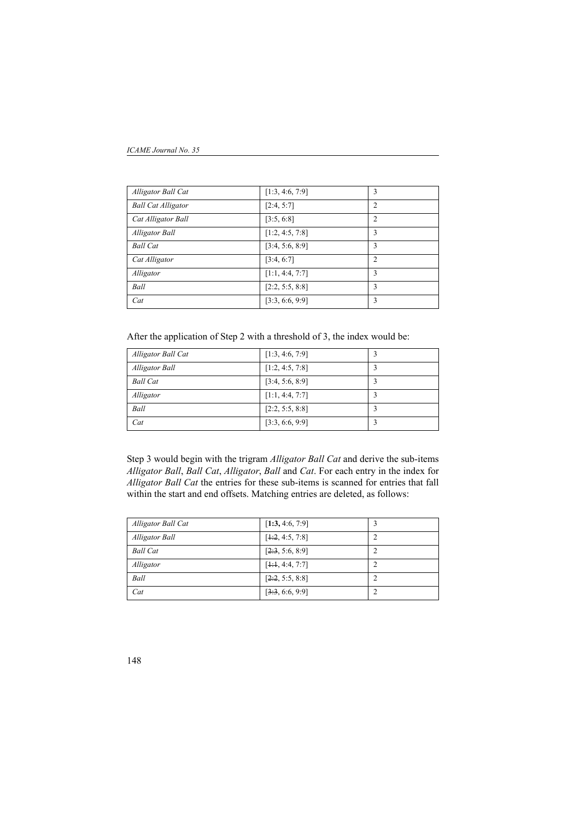#### *ICAME Journal No. 35*

| Alligator Ball Cat        | [1:3, 4:6, 7:9] | 3              |
|---------------------------|-----------------|----------------|
| <b>Ball Cat Alligator</b> | [2:4, 5:7]      | 2              |
| Cat Alligator Ball        | [3:5, 6:8]      | $\overline{c}$ |
| <b>Alligator Ball</b>     | [1:2, 4:5, 7:8] | 3              |
| <b>Ball Cat</b>           | [3:4, 5:6, 8:9] | 3              |
| Cat Alligator             | [3:4, 6:7]      | 2              |
| Alligator                 | [1:1, 4:4, 7:7] | 3              |
| Ball                      | [2:2, 5:5, 8:8] | 3              |
| Cat                       | [3:3, 6:6, 9:9] | 3              |

After the application of Step 2 with a threshold of 3, the index would be:

| Alligator Ball Cat | [1:3, 4:6, 7:9] |  |
|--------------------|-----------------|--|
| Alligator Ball     | [1:2, 4:5, 7:8] |  |
| <b>Ball Cat</b>    | [3:4, 5:6, 8:9] |  |
| Alligator          | [1:1, 4:4, 7:7] |  |
| Ball               | [2:2, 5:5, 8:8] |  |
| Cat                | [3:3, 6:6, 9:9] |  |

Step 3 would begin with the trigram *Alligator Ball Cat* and derive the sub-items *Alligator Ball*, *Ball Cat*, *Alligator*, *Ball* and *Cat*. For each entry in the index for *Alligator Ball Cat* the entries for these sub-items is scanned for entries that fall within the start and end offsets. Matching entries are deleted, as follows:

| Alligator Ball Cat | [1:3, 4:6, 7:9]  |   |
|--------------------|------------------|---|
| Alligator Ball     | $[+2, 4:5, 7:8]$ | າ |
| <b>Ball Cat</b>    | [2:3, 5:6, 8:9]  | ∍ |
| Alligator          | $[+4, 4:4, 7:7]$ |   |
| Ball               | [2:2, 5:5, 8:8]  |   |
| Cat                | [3:3, 6:6, 9:9]  | າ |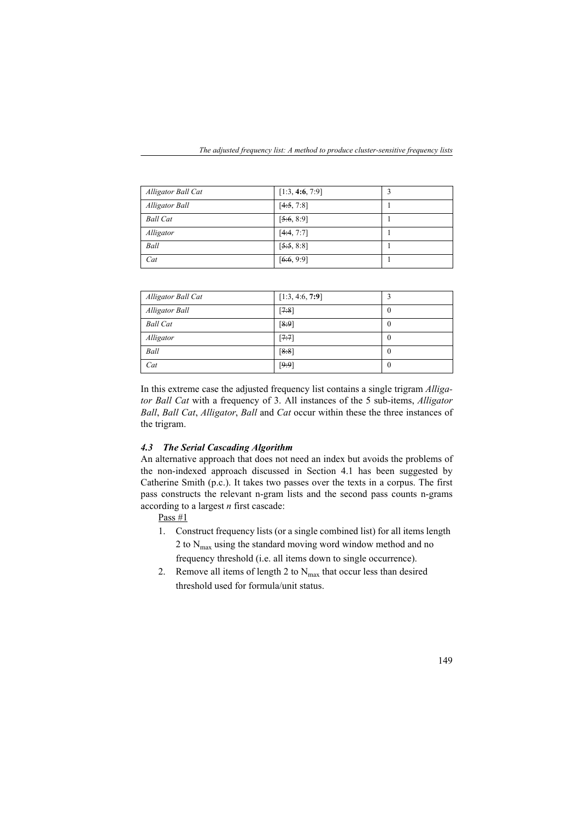*The adjusted frequency list: A method to produce cluster-sensitive frequency lists*

| Alligator Ball Cat    | [1:3, 4:6, 7:9] |  |
|-----------------------|-----------------|--|
| <b>Alligator Ball</b> | [4:5, 7:8]      |  |
| <b>Ball Cat</b>       | [5:6, 8:9]      |  |
| Alligator             | [4:4, 7:7]      |  |
| Ball                  | [5:5, 8:8]      |  |
| Cat                   | [6:6, 9:9]      |  |

| Alligator Ball Cat | [1:3, 4:6, 7:9] |          |
|--------------------|-----------------|----------|
| Alligator Ball     | [7:8]           | U        |
| <b>Ball Cat</b>    | [8.9]           | U        |
| Alligator          | [7:7]           | $\theta$ |
| Ball               | [8:8]           | $\theta$ |
| Cat                | [9:9]           | 0        |

In this extreme case the adjusted frequency list contains a single trigram *Alligator Ball Cat* with a frequency of 3. All instances of the 5 sub-items, *Alligator Ball*, *Ball Cat*, *Alligator*, *Ball* and *Cat* occur within these the three instances of the trigram.

## *4.3 The Serial Cascading Algorithm*

An alternative approach that does not need an index but avoids the problems of the non-indexed approach discussed in Section 4.1 has been suggested by Catherine Smith (p.c.). It takes two passes over the texts in a corpus. The first pass constructs the relevant n-gram lists and the second pass counts n-grams according to a largest *n* first cascade:

Pass #1

- 1. Construct frequency lists (or a single combined list) for all items length 2 to  $N_{\text{max}}$  using the standard moving word window method and no frequency threshold (i.e. all items down to single occurrence).
- 2. Remove all items of length 2 to  $N_{\text{max}}$  that occur less than desired threshold used for formula/unit status.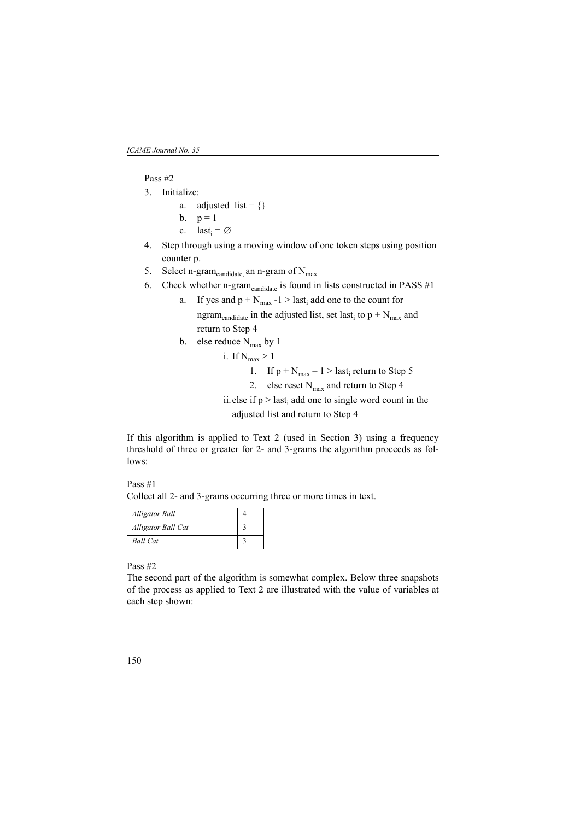### Pass #2

- 3. Initialize:
	- a. adjusted\_list =  $\{\}$
	- b.  $p = 1$
	- c. last<sub>i</sub> =  $\varnothing$
- 4. Step through using a moving window of one token steps using position counter p.
- 5. Select n-gram<sub>candidate</sub> an n-gram of  $N_{\text{max}}$
- 6. Check whether n-gram<sub>candidate</sub> is found in lists constructed in PASS #1
	- a. If yes and  $p + N_{max} -1 >$  last<sub>i</sub> add one to the count for ngram<sub>candidate</sub> in the adjusted list, set last<sub>i</sub> to  $p + N_{max}$  and return to Step 4
	- b. else reduce  $N_{\text{max}}$  by 1
		- i. If  $N_{max} > 1$ 
			- 1. If  $p + N_{max} 1 >$  last<sub>i</sub> return to Step 5
			- 2. else reset  $N_{\text{max}}$  and return to Step 4
		- ii. else if  $p >$  last<sub>i</sub> add one to single word count in the adjusted list and return to Step 4

If this algorithm is applied to Text 2 (used in Section 3) using a frequency threshold of three or greater for 2- and 3-grams the algorithm proceeds as follows:

Pass #1 Collect all 2- and 3-grams occurring three or more times in text.

| <b>Alligator Ball</b> |  |
|-----------------------|--|
| Alligator Ball Cat    |  |
| <b>Ball Cat</b>       |  |

Pass #2

The second part of the algorithm is somewhat complex. Below three snapshots of the process as applied to Text 2 are illustrated with the value of variables at each step shown: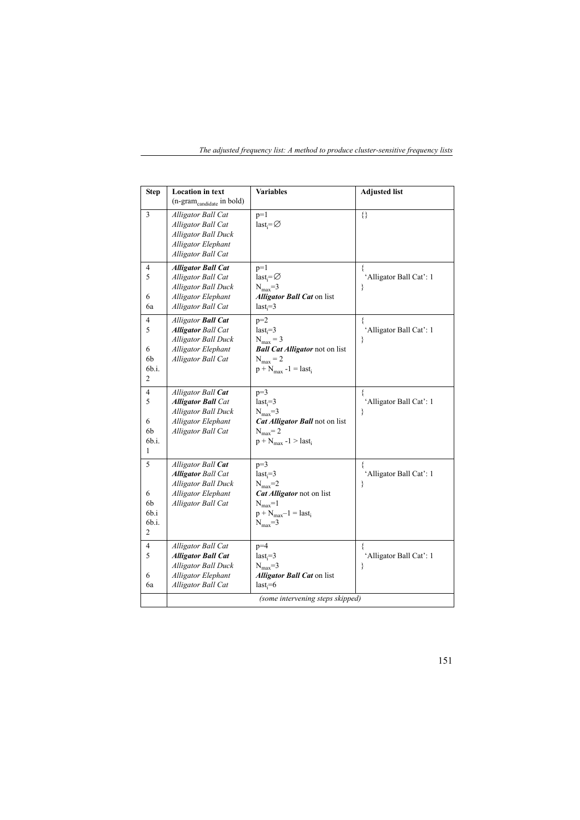| The adjusted frequency list: A method to produce cluster-sensitive frequency lists |  |  |  |  |
|------------------------------------------------------------------------------------|--|--|--|--|

| <b>Step</b>                        | <b>Location</b> in text<br>(n-gram <sub>candidate</sub> in bold)                                                                 | <b>Variables</b>                                                                                                                                  | <b>Adjusted list</b>              |
|------------------------------------|----------------------------------------------------------------------------------------------------------------------------------|---------------------------------------------------------------------------------------------------------------------------------------------------|-----------------------------------|
| $\overline{3}$                     | Alligator Ball Cat<br>Alligator Ball Cat<br><b>Alligator Ball Duck</b><br>Alligator Elephant<br>Alligator Ball Cat               | $p=1$<br>$last_i = \emptyset$                                                                                                                     | 8                                 |
| 4<br>5<br>6<br>6a                  | <b>Alligator Ball Cat</b><br>Alligator Ball Cat<br>Alligator Ball Duck<br>Alligator Elephant<br>Alligator Ball Cat               | $p=1$<br>$last_i = \emptyset$<br>$N_{\text{max}}=3$<br><i><b>Alligator Ball Cat on list</b></i><br>$last_i=3$                                     | ₹<br>'Alligator Ball Cat': 1<br>∤ |
| 4<br>5<br>6<br>6b<br>6b.i.<br>2    | <b>Alligator Ball Cat</b><br><b>Alligator Ball Cat</b><br><b>Alligator Ball Duck</b><br>Alligator Elephant<br>Alligator Ball Cat | $p=2$<br>$last_i = 3$<br>$N_{max} = 3$<br><b>Ball Cat Alligator</b> not on list<br>$N_{max} = 2$<br>$p + N_{max} - 1 = last$                      | 'Alligator Ball Cat': 1<br>∤      |
| 4<br>5<br>6<br>6b<br>6b.i.<br>1    | Alligator Ball Cat<br><b>Alligator Ball Cat</b><br>Alligator Ball Duck<br>Alligator Elephant<br>Alligator Ball Cat               | $p=3$<br>$last_i=3$<br>$N_{\text{max}}=3$<br>Cat Alligator Ball not on list<br>$N_{max} = 2$<br>$p + N_{max} -1 > last_i$                         | ſ<br>'Alligator Ball Cat': 1<br>∤ |
| 5<br>6<br>6b<br>6b.i<br>6b.i.<br>2 | Alligator Ball Cat<br><b>Alligator Ball Cat</b><br><b>Alligator Ball Duck</b><br>Alligator Elephant<br>Alligator Ball Cat        | $p=3$<br>$last_i = 3$<br>$N_{\text{max}}=2$<br>Cat Alligator not on list<br>$N_{\rm max} = 1$<br>$p + N_{max} - 1 = last_i$<br>$N_{\text{max}}=3$ | 'Alligator Ball Cat': 1<br>ł      |
| 4<br>5<br>6<br>6a                  | Alligator Ball Cat<br><b>Alligator Ball Cat</b><br><b>Alligator Ball Duck</b><br>Alligator Elephant<br>Alligator Ball Cat        | $p=4$<br>$last_i=3$<br>$N_{\rm max} = 3$<br><b>Alligator Ball Cat on list</b><br>$last_i=6$<br>(some intervening steps skipped)                   | 'Alligator Ball Cat': 1<br>∤      |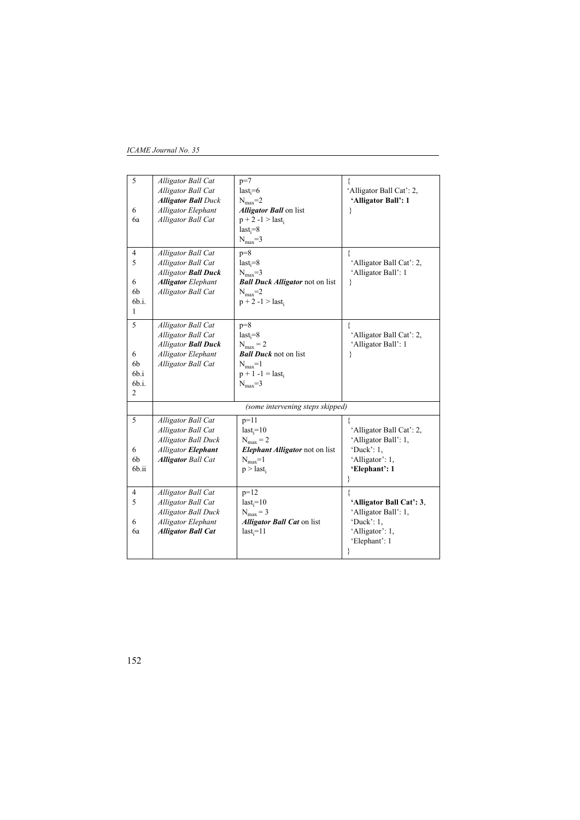### *ICAME Journal No. 35*

| 5     | Alligator Ball Cat         | $p=7$                                  |                          |
|-------|----------------------------|----------------------------------------|--------------------------|
|       | Alligator Ball Cat         | $last_i=6$                             | 'Alligator Ball Cat': 2, |
|       | <b>Alligator Ball</b> Duck | $N_{\rm max}=2$                        | 'Alligator Ball': 1      |
| 6     | <b>Alligator Elephant</b>  | <b>Alligator Ball</b> on list          | ł                        |
| 6a    | Alligator Ball Cat         | $p + 2 - 1 >$ last <sub>i</sub>        |                          |
|       |                            | $last_i = 8$                           |                          |
|       |                            | $N_{\text{max}}=3$                     |                          |
| 4     | Alligator Ball Cat         | $p=8$                                  |                          |
| 5     | Alligator Ball Cat         | $last_i = 8$                           | 'Alligator Ball Cat': 2, |
|       | <b>Alligator Ball Duck</b> | $N_{\text{max}}=3$                     | 'Alligator Ball': 1      |
| 6     | <b>Alligator</b> Elephant  | <b>Ball Duck Alligator</b> not on list | ₹                        |
| 6b    | Alligator Ball Cat         | $N_{\rm max}=2$                        |                          |
| 6b.i. |                            | $p + 2 - 1 >$ last,                    |                          |
| 1     |                            |                                        |                          |
| 5     | Alligator Ball Cat         | $p=8$                                  |                          |
|       | Alligator Ball Cat         | $last_i = 8$                           | 'Alligator Ball Cat': 2, |
|       | <b>Alligator Ball Duck</b> | $N_{max} = 2$                          | 'Alligator Ball': 1      |
| 6     | Alligator Elephant         | <b>Ball Duck</b> not on list           |                          |
| 6b    | Alligator Ball Cat         | $N_{\text{max}}=1$                     |                          |
| 6b.i  |                            | $p + 1 - 1 =$ last <sub>i</sub>        |                          |
| 6b.i. |                            | $N_{\rm max} = 3$                      |                          |
| 2     |                            |                                        |                          |
|       |                            | (some intervening steps skipped)       |                          |
| 5     | Alligator Ball Cat         | $p=11$                                 |                          |
|       | Alligator Ball Cat         | $last_i=10$                            | 'Alligator Ball Cat': 2, |
|       | <b>Alligator Ball Duck</b> | $N_{max} = 2$                          | 'Alligator Ball': 1,     |
| 6     | <b>Alligator Elephant</b>  | <b>Elephant Alligator</b> not on list  | 'Duck': $1$ ,            |
| 6b    | <b>Alligator Ball Cat</b>  | $N_{\text{max}}=1$                     | 'Alligator': 1,          |
| 6b.ii |                            | $p >$ last <sub>i</sub>                | 'Elephant': 1            |
|       |                            |                                        |                          |
| 4     | Alligator Ball Cat         | $p=12$                                 |                          |
| 5     | Alligator Ball Cat         | $last_i=10$                            | 'Alligator Ball Cat': 3. |
|       | <b>Alligator Ball Duck</b> | $N_{\text{max}} = 3$                   | 'Alligator Ball': 1,     |
| 6     | <b>Alligator Elephant</b>  | <b>Alligator Ball Cat on list</b>      | 'Duck': $1$ .            |
| 6a    | <b>Alligator Ball Cat</b>  | $last_i=11$                            | 'Alligator': 1,          |
|       |                            |                                        | 'Elephant': 1            |
|       |                            |                                        |                          |
|       |                            |                                        |                          |

152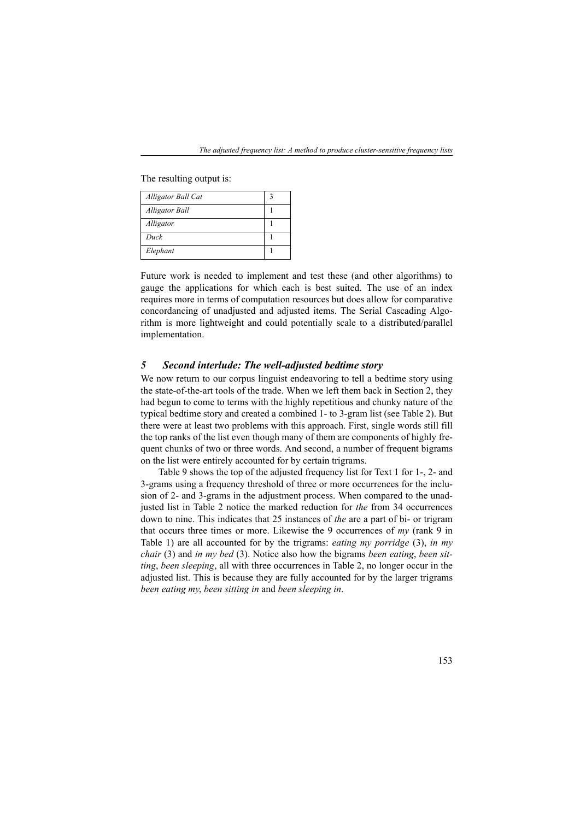The resulting output is:

| Alligator Ball Cat    |  |
|-----------------------|--|
| <b>Alligator Ball</b> |  |
| Alligator             |  |
| Duck                  |  |
| Elephant              |  |

Future work is needed to implement and test these (and other algorithms) to gauge the applications for which each is best suited. The use of an index requires more in terms of computation resources but does allow for comparative concordancing of unadjusted and adjusted items. The Serial Cascading Algorithm is more lightweight and could potentially scale to a distributed/parallel implementation.

### *5 Second interlude: The well-adjusted bedtime story*

We now return to our corpus linguist endeavoring to tell a bedtime story using the state-of-the-art tools of the trade. When we left them back in Section 2, they had begun to come to terms with the highly repetitious and chunky nature of the typical bedtime story and created a combined 1- to 3-gram list (see Table 2). But there were at least two problems with this approach. First, single words still fill the top ranks of the list even though many of them are components of highly frequent chunks of two or three words. And second, a number of frequent bigrams on the list were entirely accounted for by certain trigrams.

Table 9 shows the top of the adjusted frequency list for Text 1 for 1-, 2- and 3-grams using a frequency threshold of three or more occurrences for the inclusion of 2- and 3-grams in the adjustment process. When compared to the unadjusted list in Table 2 notice the marked reduction for *the* from 34 occurrences down to nine. This indicates that 25 instances of *the* are a part of bi- or trigram that occurs three times or more. Likewise the 9 occurrences of *my* (rank 9 in Table 1) are all accounted for by the trigrams: *eating my porridge* (3), *in my chair* (3) and *in my bed* (3). Notice also how the bigrams *been eating*, *been sitting*, *been sleeping*, all with three occurrences in Table 2, no longer occur in the adjusted list. This is because they are fully accounted for by the larger trigrams *been eating my*, *been sitting in* and *been sleeping in*.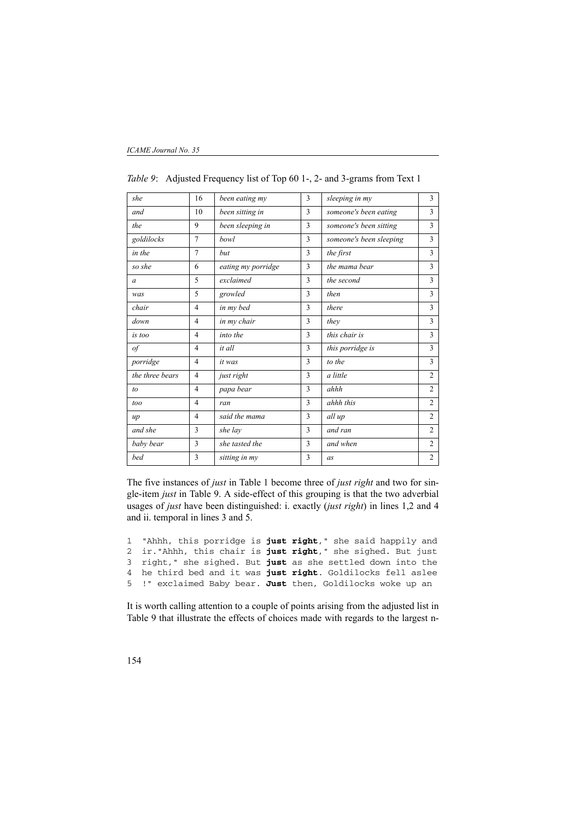| she             | 16             | been eating my     | 3 | sleeping in my          | 3              |
|-----------------|----------------|--------------------|---|-------------------------|----------------|
| and             | 10             | been sitting in    | 3 | someone's been eating   | 3              |
| the             | 9              | been sleeping in   | 3 | someone's been sitting  | 3              |
| goldilocks      | 7              | <b>bowl</b>        | 3 | someone's been sleeping | 3              |
| in the          | $\overline{7}$ | hut                | 3 | the first               | 3              |
| so she          | 6              | eating my porridge | 3 | the mama bear           | 3              |
| $\alpha$        | 5              | exclaimed          | 3 | the second              | 3              |
| was             | 5              | growled            | 3 | then                    | 3              |
| chair           | $\overline{4}$ | in my bed          | 3 | there                   | 3              |
| down            | 4              | in my chair        | 3 | they                    | 3              |
| is too          | $\overline{4}$ | into the           | 3 | this chair is           | 3              |
| $\iota$         | $\overline{4}$ | it all             | 3 | this porridge is        | 3              |
| porridge        | 4              | it was             | 3 | to the                  | 3              |
| the three bears | 4              | just right         | 3 | a little                | $\overline{2}$ |
| to              | $\overline{4}$ | papa bear          | 3 | ahhh                    | $\overline{2}$ |
| too             | 4              | ran                | 3 | ahhh this               | $\overline{2}$ |
| $\mu$           | $\overline{4}$ | said the mama      | 3 | all up                  | $\overline{c}$ |
| and she         | 3              | she lay            | 3 | and ran                 | $\overline{2}$ |
| baby bear       | 3              | she tasted the     | 3 | and when                | $\overline{2}$ |
| bed             | 3              | sitting in my      | 3 | as                      | $\overline{2}$ |

*Table 9*: Adjusted Frequency list of Top 60 1-, 2- and 3-grams from Text 1

The five instances of *just* in Table 1 become three of *just right* and two for single-item *just* in Table 9. A side-effect of this grouping is that the two adverbial usages of *just* have been distinguished: i. exactly (*just right*) in lines 1,2 and 4 and ii. temporal in lines 3 and 5.

1 "Ahhh, this porridge is **just right**," she said happily and 2 ir."Ahhh, this chair is **just right**," she sighed. But just 3 right," she sighed. But **just** as she settled down into the 4 he third bed and it was **just right**. Goldilocks fell aslee 5 !" exclaimed Baby bear. **Just** then, Goldilocks woke up an

It is worth calling attention to a couple of points arising from the adjusted list in Table 9 that illustrate the effects of choices made with regards to the largest n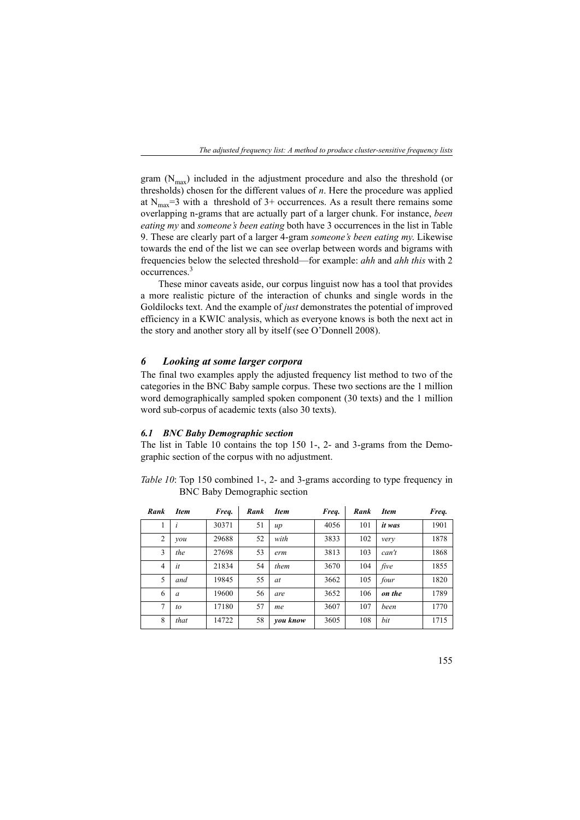gram  $(N_{\text{max}})$  included in the adjustment procedure and also the threshold (or thresholds) chosen for the different values of *n*. Here the procedure was applied at  $N_{\text{max}}=3$  with a threshold of 3+ occurrences. As a result there remains some overlapping n-grams that are actually part of a larger chunk. For instance, *been eating my* and *someone's been eating* both have 3 occurrences in the list in Table 9. These are clearly part of a larger 4-gram *someone's been eating my*. Likewise towards the end of the list we can see overlap between words and bigrams with frequencies below the selected threshold—for example: *ahh* and *ahh this* with 2 occurrences.<sup>3</sup>

These minor caveats aside, our corpus linguist now has a tool that provides a more realistic picture of the interaction of chunks and single words in the Goldilocks text. And the example of *just* demonstrates the potential of improved efficiency in a KWIC analysis, which as everyone knows is both the next act in the story and another story all by itself (see O'Donnell 2008).

### *6 Looking at some larger corpora*

The final two examples apply the adjusted frequency list method to two of the categories in the BNC Baby sample corpus. These two sections are the 1 million word demographically sampled spoken component (30 texts) and the 1 million word sub-corpus of academic texts (also 30 texts).

#### *6.1 BNC Baby Demographic section*

The list in Table 10 contains the top 150 1-, 2- and 3-grams from the Demographic section of the corpus with no adjustment.

*Table 10*: Top 150 combined 1-, 2- and 3-grams according to type frequency in BNC Baby Demographic section

| Rank           | Item     | Freq. | Rank | <b>Item</b> | Freq. | Rank | <b>Item</b> | Freq. |
|----------------|----------|-------|------|-------------|-------|------|-------------|-------|
|                |          | 30371 | 51   | $\mu$       | 4056  | 101  | it was      | 1901  |
| $\overline{2}$ | vou      | 29688 | 52   | with        | 3833  | 102  | very        | 1878  |
| 3              | the      | 27698 | 53   | erm         | 3813  | 103  | can't       | 1868  |
| 4              | it       | 21834 | 54   | them        | 3670  | 104  | five        | 1855  |
| 5              | and      | 19845 | 55   | at          | 3662  | 105  | four        | 1820  |
| 6              | $\alpha$ | 19600 | 56   | are         | 3652  | 106  | on the      | 1789  |
| 7              | to       | 17180 | 57   | me          | 3607  | 107  | been        | 1770  |
| 8              | that     | 14722 | 58   | you know    | 3605  | 108  | bit         | 1715  |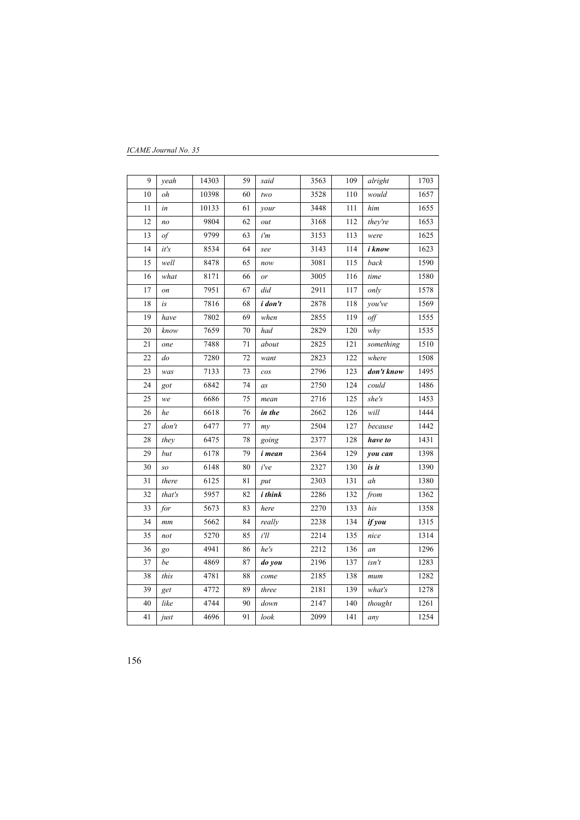| 9    | yeah               | 14303 | 59              | said          | 3563 | 109              | alright            | 1703 |
|------|--------------------|-------|-----------------|---------------|------|------------------|--------------------|------|
| 10   | oh                 | 10398 | 60              | two           | 3528 | 110              | would              | 1657 |
| 11   | in                 | 10133 | 61              | your          | 3448 | 111              | him                | 1655 |
| 12   | n <sub>O</sub>     | 9804  | 62              | out           | 3168 | 112              | they're            | 1653 |
| 13   | $\iota$            | 9799  | 63              | i'm           | 3153 | 113              | were               | 1625 |
| 14   | it's               | 8534  | 64              | see           | 3143 | 114              | i know             | 1623 |
| 15   | well               | 8478  | 65              | now           | 3081 | 115              | back               | 1590 |
| 16   | what               | 8171  | 66              | or            | 3005 | 116              | time               | 1580 |
| $17$ | on                 | 7951  | 67              | did           | 2911 | 117              | only               | 1578 |
| 18   | is                 | 7816  | 68              | i don't       | 2878 | 118              | you've             | 1569 |
| 19   | have               | 7802  | 69              | when          | 2855 | 119              | $\partial f$       | 1555 |
| 20   | know               | 7659  | 70              | had           | 2829 | 120              | why                | 1535 |
| 21   | one                | 7488  | 71              | about         | 2825 | 121              | something          | 1510 |
| 22   | $\emph{do}$        | 7280  | 72              | want          | 2823 | 122              | $\overline{where}$ | 1508 |
| 23   | was                | 7133  | $\overline{73}$ | cos           | 2796 | $\overline{123}$ | don't know         | 1495 |
| 24   | got                | 6842  | 74              | as            | 2750 | 124              | could              | 1486 |
| 25   | we                 | 6686  | 75              | mean          | 2716 | 125              | she's              | 1453 |
| 26   | he                 | 6618  | 76              | in the        | 2662 | 126              | $will$             | 1444 |
| 27   | $\overline{don't}$ | 6477  | 77              | my            | 2504 | 127              | because            | 1442 |
| 28   | they               | 6475  | 78              | going         | 2377 | 128              | have to            | 1431 |
| 29   | but                | 6178  | 79              | <i>i</i> mean | 2364 | 129              | you can            | 1398 |
| 30   | SO                 | 6148  | 80              | i've          | 2327 | 130              | is it              | 1390 |
| 31   | there              | 6125  | 81              | put           | 2303 | 131              | ah                 | 1380 |
| 32   | that's             | 5957  | 82              | i think       | 2286 | 132              | from               | 1362 |
| 33   | for                | 5673  | 83              | here          | 2270 | 133              | his                | 1358 |
| 34   | mm                 | 5662  | 84              | really        | 2238 | 134              | if you             | 1315 |
| 35   | not                | 5270  | 85              | $i^{\prime}$  | 2214 | 135              | nice               | 1314 |
| 36   | go                 | 4941  | 86              | he's          | 2212 | 136              | an                 | 1296 |
| 37   | be                 | 4869  | 87              | do you        | 2196 | 137              | isn't              | 1283 |
| 38   | this               | 4781  | 88              | come          | 2185 | 138              | mum                | 1282 |
| 39   | get                | 4772  | 89              | three         | 2181 | 139              | what's             | 1278 |
| 40   | like               | 4744  | 90              | down          | 2147 | 140              | thought            | 1261 |
| 41   | just               | 4696  | 91              | look          | 2099 | 141              | any                | 1254 |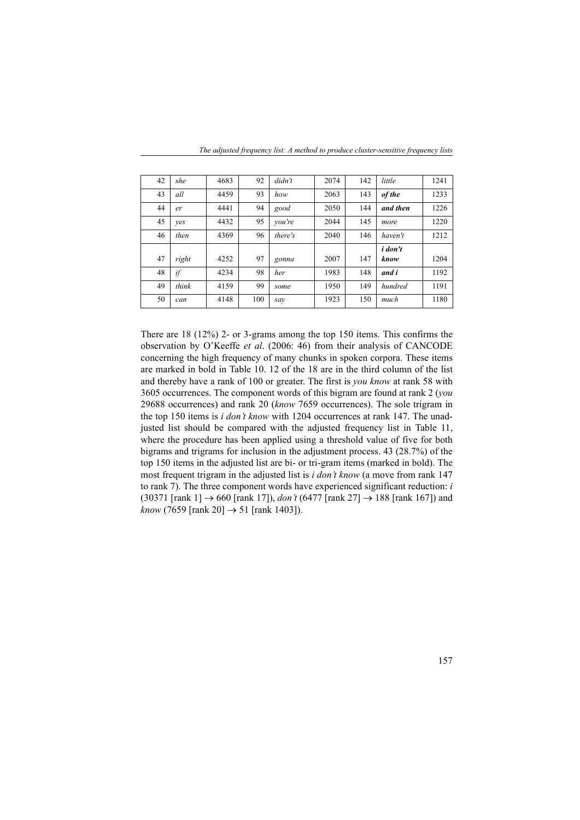| 42 | she   | 4683 | 92  | $d$ <i>i</i> $dn$ <sup><math>\prime</math></sup> $t$ | 2074 | 142 | little         | 1241 |
|----|-------|------|-----|------------------------------------------------------|------|-----|----------------|------|
| 43 | all   | 4459 | 93  | how                                                  | 2063 | 143 | of the         | 1233 |
| 44 | er    | 4441 | 94  | good                                                 | 2050 | 144 | and then       | 1226 |
| 45 | ves   | 4432 | 95  | vou're                                               | 2044 | 145 | more           | 1220 |
| 46 | then  | 4369 | 96  | there's                                              | 2040 | 146 | haven't        | 1212 |
|    |       |      |     |                                                      |      |     | <i>i</i> don't |      |
| 47 | right | 4252 | 97  | gonna                                                | 2007 | 147 | know           | 1204 |
| 48 | if    | 4234 | 98  | her                                                  | 1983 | 148 | and i          | 1192 |
| 49 | think | 4159 | 99  | some                                                 | 1950 | 149 | hundred        | 1191 |
| 50 | can   | 4148 | 100 | sav                                                  | 1923 | 150 | much           | 1180 |

*The adjusted frequency list: A method to produce cluster-sensitive frequency lists*

There are 18 (12%) 2- or 3-grams among the top 150 items. This confirms the observation by O'Keeffe *et al*. (2006: 46) from their analysis of CANCODE concerning the high frequency of many chunks in spoken corpora. These items are marked in bold in Table 10. 12 of the 18 are in the third column of the list and thereby have a rank of 100 or greater. The first is *you know* at rank 58 with 3605 occurrences. The component words of this bigram are found at rank 2 (*you* 29688 occurrences) and rank 20 (*know* 7659 occurrences). The sole trigram in the top 150 items is *i don't know* with 1204 occurrences at rank 147. The unadjusted list should be compared with the adjusted frequency list in Table 11, where the procedure has been applied using a threshold value of five for both bigrams and trigrams for inclusion in the adjustment process. 43 (28.7%) of the top 150 items in the adjusted list are bi- or tri-gram items (marked in bold). The most frequent trigram in the adjusted list is *i don't know* (a move from rank 147 to rank 7). The three component words have experienced significant reduction: *i* (30371 [rank 1] → 660 [rank 17]), *don't* (6477 [rank 27] → 188 [rank 167]) and *know* (7659 [rank 20] → 51 [rank 1403]).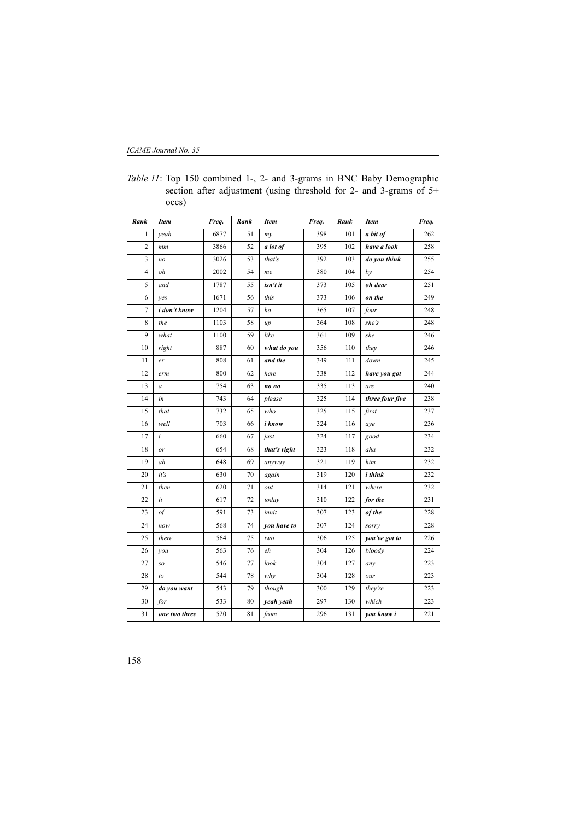| Rank                    | <b>Item</b>   | Freq. | Rank | <b>Item</b>  | Freq. | Rank | <b>Item</b>     | Freq. |
|-------------------------|---------------|-------|------|--------------|-------|------|-----------------|-------|
| 1                       | veah          | 6877  | 51   | my           | 398   | 101  | a bit of        | 262   |
| $\overline{c}$          | mm            | 3866  | 52   | a lot of     | 395   | 102  | have a look     | 258   |
| $\overline{\mathbf{3}}$ | no            | 3026  | 53   | that's       | 392   | 103  | do you think    | 255   |
| 4                       | oh            | 2002  | 54   | me           | 380   | 104  | bν              | 254   |
| 5                       | and           | 1787  | 55   | isn't it     | 373   | 105  | oh dear         | 251   |
| 6                       | ves           | 1671  | 56   | this         | 373   | 106  | on the          | 249   |
| 7                       | i don't know  | 1204  | 57   | ha           | 365   | 107  | four            | 248   |
| 8                       | the           | 1103  | 58   | up           | 364   | 108  | she's           | 248   |
| 9                       | what          | 1100  | 59   | like         | 361   | 109  | she             | 246   |
| 10                      | right         | 887   | 60   | what do you  | 356   | 110  | they            | 246   |
| 11                      | er            | 808   | 61   | and the      | 349   | 111  | down            | 245   |
| 12                      | erm           | 800   | 62   | here         | 338   | 112  | have you got    | 244   |
| 13                      | a             | 754   | 63   | no no        | 335   | 113  | are             | 240   |
| 14                      | in            | 743   | 64   | please       | 325   | 114  | three four five | 238   |
| 15                      | that          | 732   | 65   | who          | 325   | 115  | first           | 237   |
| 16                      | well          | 703   | 66   | i know       | 324   | 116  | aye             | 236   |
| 17                      | i             | 660   | 67   | just         | 324   | 117  | good            | 234   |
| 18                      | or            | 654   | 68   | that's right | 323   | 118  | aha             | 232   |
| 19                      | ah            | 648   | 69   | anyway       | 321   | 119  | him             | 232   |
| 20                      | it's          | 630   | 70   | again        | 319   | 120  | i think         | 232   |
| 21                      | then          | 620   | 71   | out          | 314   | 121  | where           | 232   |
| 22                      | it            | 617   | 72   | today        | 310   | 122  | for the         | 231   |
| 23                      | of            | 591   | 73   | innit        | 307   | 123  | of the          | 228   |
| 24                      | now           | 568   | 74   | you have to  | 307   | 124  | sorry           | 228   |
| 25                      | there         | 564   | 75   | two          | 306   | 125  | you've got to   | 226   |
| 26                      | you           | 563   | 76   | eh           | 304   | 126  | bloody          | 224   |
| 27                      | so            | 546   | 77   | look         | 304   | 127  | any             | 223   |
| 28                      | to            | 544   | 78   | why          | 304   | 128  | our             | 223   |
| 29                      | do you want   | 543   | 79   | though       | 300   | 129  | they're         | 223   |
| 30                      | for           | 533   | 80   | yeah yeah    | 297   | 130  | which           | 223   |
| 31                      | one two three | 520   | 81   | from         | 296   | 131  | you know i      | 221   |

*Table 11*: Top 150 combined 1-, 2- and 3-grams in BNC Baby Demographic section after adjustment (using threshold for 2- and 3-grams of 5+ occs)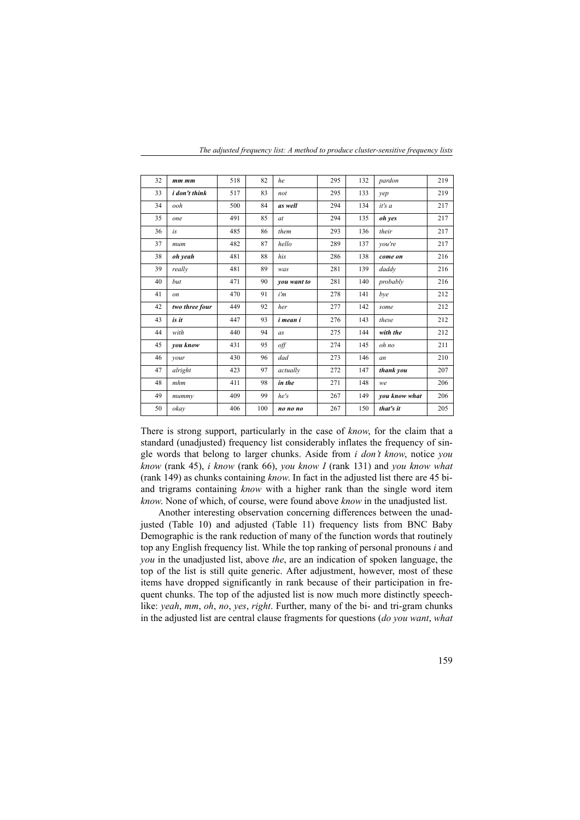| 32 | $mm$ $mm$            | 518 | 82  | he          | 295 | 132 | pardon        | 219 |
|----|----------------------|-----|-----|-------------|-----|-----|---------------|-----|
| 33 | <i>i</i> don't think | 517 | 83  | not         | 295 | 133 | yep           | 219 |
| 34 | ooh                  | 500 | 84  | as well     | 294 | 134 | it's a        | 217 |
| 35 | one                  | 491 | 85  | at          | 294 | 135 | oh yes        | 217 |
| 36 | is                   | 485 | 86  | them        | 293 | 136 | their         | 217 |
| 37 | mum                  | 482 | 87  | hello       | 289 | 137 | vou're        | 217 |
| 38 | oh yeah              | 481 | 88  | his         | 286 | 138 | come on       | 216 |
| 39 | really               | 481 | 89  | was         | 281 | 139 | daddy         | 216 |
| 40 | but                  | 471 | 90  | you want to | 281 | 140 | probably      | 216 |
| 41 | <sub>on</sub>        | 470 | 91  | i'm         | 278 | 141 | bye           | 212 |
| 42 | two three four       | 449 | 92  | her         | 277 | 142 | some          | 212 |
| 43 | is it                | 447 | 93  | i mean i    | 276 | 143 | these         | 212 |
| 44 | with                 | 440 | 94  | as          | 275 | 144 | with the      | 212 |
| 45 | you know             | 431 | 95  | off         | 274 | 145 | oh no         | 211 |
| 46 | your                 | 430 | 96  | dad         | 273 | 146 | an            | 210 |
| 47 | alright              | 423 | 97  | actually    | 272 | 147 | thank you     | 207 |
| 48 | mhm                  | 411 | 98  | in the      | 271 | 148 | we.           | 206 |
| 49 | mummy                | 409 | 99  | he's        | 267 | 149 | you know what | 206 |
| 50 | okav                 | 406 | 100 | no no no    | 267 | 150 | that's it     | 205 |

*The adjusted frequency list: A method to produce cluster-sensitive frequency lists*

There is strong support, particularly in the case of *know*, for the claim that a standard (unadjusted) frequency list considerably inflates the frequency of single words that belong to larger chunks. Aside from *i don't know*, notice *you know* (rank 45), *i know* (rank 66), *you know I* (rank 131) and *you know what* (rank 149) as chunks containing *know*. In fact in the adjusted list there are 45 biand trigrams containing *know* with a higher rank than the single word item *know*. None of which, of course, were found above *know* in the unadjusted list.

Another interesting observation concerning differences between the unadjusted (Table 10) and adjusted (Table 11) frequency lists from BNC Baby Demographic is the rank reduction of many of the function words that routinely top any English frequency list. While the top ranking of personal pronouns *i* and *you* in the unadjusted list, above *the*, are an indication of spoken language, the top of the list is still quite generic. After adjustment, however, most of these items have dropped significantly in rank because of their participation in frequent chunks. The top of the adjusted list is now much more distinctly speechlike: *yeah*, *mm*, *oh*, *no*, *yes*, *right*. Further, many of the bi- and tri-gram chunks in the adjusted list are central clause fragments for questions (*do you want*, *what*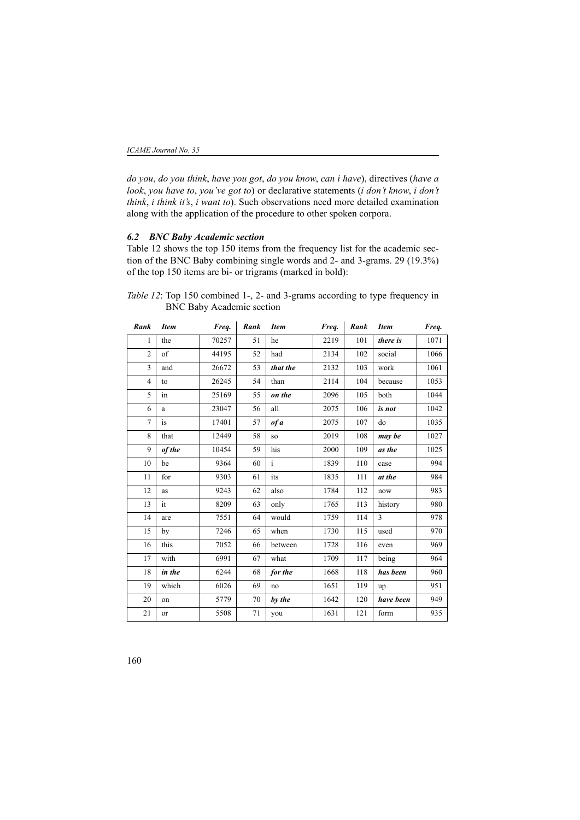*do you*, *do you think*, *have you got*, *do you know*, *can i have*), directives (*have a look*, *you have to*, *you've got to*) or declarative statements (*i don't know*, *i don't think*, *i think it's*, *i want to*). Such observations need more detailed examination along with the application of the procedure to other spoken corpora.

## *6.2 BNC Baby Academic section*

Table 12 shows the top 150 items from the frequency list for the academic section of the BNC Baby combining single words and 2- and 3-grams. 29 (19.3%) of the top 150 items are bi- or trigrams (marked in bold):

*Table 12*: Top 150 combined 1-, 2- and 3-grams according to type frequency in BNC Baby Academic section

| Rank           | <b>Item</b> | Freq. | Rank | <b>Item</b>  | Freq. | Rank | <b>Item</b> | Freq. |
|----------------|-------------|-------|------|--------------|-------|------|-------------|-------|
| 1              | the         | 70257 | 51   | he           | 2219  | 101  | there is    | 1071  |
| $\overline{2}$ | of          | 44195 | 52   | had          | 2134  | 102  | social      | 1066  |
| 3              | and         | 26672 | 53   | that the     | 2132  | 103  | work        | 1061  |
| $\overline{4}$ | to          | 26245 | 54   | than         | 2114  | 104  | because     | 1053  |
| 5              | in          | 25169 | 55   | on the       | 2096  | 105  | both        | 1044  |
| 6              | a           | 23047 | 56   | all          | 2075  | 106  | is not      | 1042  |
| $\overline{7}$ | is          | 17401 | 57   | of a         | 2075  | 107  | do          | 1035  |
| 8              | that        | 12449 | 58   | so           | 2019  | 108  | may be      | 1027  |
| 9              | of the      | 10454 | 59   | his          | 2000  | 109  | as the      | 1025  |
| 10             | be          | 9364  | 60   | $\mathbf{i}$ | 1839  | 110  | case        | 994   |
| 11             | for         | 9303  | 61   | its          | 1835  | 111  | at the      | 984   |
| 12             | as          | 9243  | 62   | also         | 1784  | 112  | now         | 983   |
| 13             | it          | 8209  | 63   | only         | 1765  | 113  | history     | 980   |
| 14             | are         | 7551  | 64   | would        | 1759  | 114  | 3           | 978   |
| 15             | by          | 7246  | 65   | when         | 1730  | 115  | used        | 970   |
| 16             | this        | 7052  | 66   | between      | 1728  | 116  | even        | 969   |
| 17             | with        | 6991  | 67   | what         | 1709  | 117  | being       | 964   |
| 18             | in the      | 6244  | 68   | for the      | 1668  | 118  | has been    | 960   |
| 19             | which       | 6026  | 69   | no           | 1651  | 119  | up          | 951   |
| 20             | on          | 5779  | 70   | by the       | 1642  | 120  | have been   | 949   |
| 21             | or          | 5508  | 71   | vou          | 1631  | 121  | form        | 935   |
|                |             |       |      |              |       |      |             |       |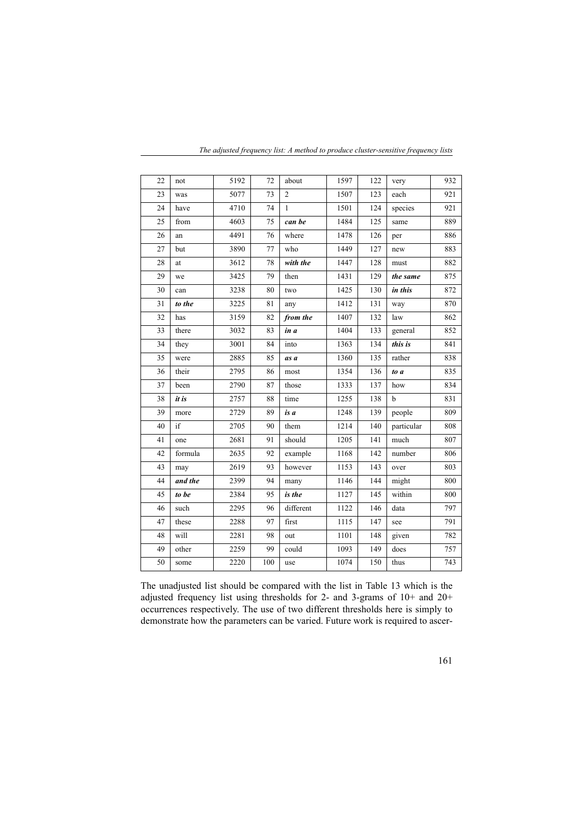| 22 | not     | 5192 | 72  | about          | 1597 | 122 | very        | 932 |
|----|---------|------|-----|----------------|------|-----|-------------|-----|
| 23 | was     | 5077 | 73  | $\overline{2}$ | 1507 | 123 | each        | 921 |
| 24 | have    | 4710 | 74  | $\mathbf{1}$   | 1501 | 124 | species     | 921 |
| 25 | from    | 4603 | 75  | can be         | 1484 | 125 | same        | 889 |
| 26 | an      | 4491 | 76  | where          | 1478 | 126 | per         | 886 |
| 27 | but     | 3890 | 77  | who            | 1449 | 127 | new         | 883 |
| 28 | at      | 3612 | 78  | with the       | 1447 | 128 | must        | 882 |
| 29 | we      | 3425 | 79  | then           | 1431 | 129 | the same    | 875 |
| 30 | can     | 3238 | 80  | two            | 1425 | 130 | in this     | 872 |
| 31 | to the  | 3225 | 81  | any            | 1412 | 131 | way         | 870 |
| 32 | has     | 3159 | 82  | from the       | 1407 | 132 | law         | 862 |
| 33 | there   | 3032 | 83  | in a           | 1404 | 133 | general     | 852 |
| 34 | they    | 3001 | 84  | into           | 1363 | 134 | this is     | 841 |
| 35 | were    | 2885 | 85  | as a           | 1360 | 135 | rather      | 838 |
| 36 | their   | 2795 | 86  | most           | 1354 | 136 | to a        | 835 |
| 37 | been    | 2790 | 87  | those          | 1333 | 137 | how         | 834 |
| 38 | it is   | 2757 | 88  | time           | 1255 | 138 | $\mathbf b$ | 831 |
| 39 | more    | 2729 | 89  | is a           | 1248 | 139 | people      | 809 |
| 40 | if      | 2705 | 90  | them           | 1214 | 140 | particular  | 808 |
| 41 | one     | 2681 | 91  | should         | 1205 | 141 | much        | 807 |
| 42 | formula | 2635 | 92  | example        | 1168 | 142 | number      | 806 |
| 43 | may     | 2619 | 93  | however        | 1153 | 143 | over        | 803 |
| 44 | and the | 2399 | 94  | many           | 1146 | 144 | might       | 800 |
| 45 | to be   | 2384 | 95  | is the         | 1127 | 145 | within      | 800 |
| 46 | such    | 2295 | 96  | different      | 1122 | 146 | data        | 797 |
| 47 | these   | 2288 | 97  | first          | 1115 | 147 | see         | 791 |
| 48 | will    | 2281 | 98  | out            | 1101 | 148 | given       | 782 |
| 49 | other   | 2259 | 99  | could          | 1093 | 149 | does        | 757 |
| 50 | some    | 2220 | 100 | use            | 1074 | 150 | thus        | 743 |

*The adjusted frequency list: A method to produce cluster-sensitive frequency lists*

The unadjusted list should be compared with the list in Table 13 which is the adjusted frequency list using thresholds for 2- and 3-grams of 10+ and 20+ occurrences respectively. The use of two different thresholds here is simply to demonstrate how the parameters can be varied. Future work is required to ascer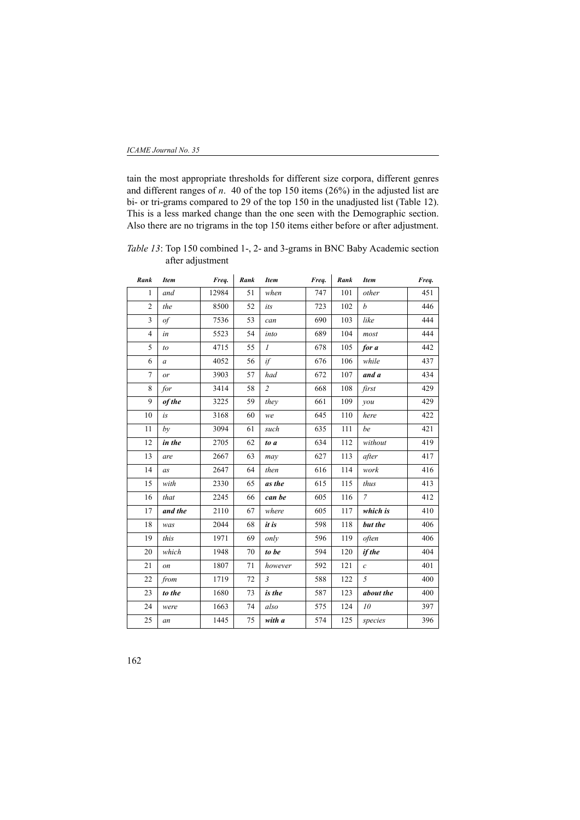tain the most appropriate thresholds for different size corpora, different genres and different ranges of *n*. 40 of the top 150 items (26%) in the adjusted list are bi- or tri-grams compared to 29 of the top 150 in the unadjusted list (Table 12). This is a less marked change than the one seen with the Demographic section. Also there are no trigrams in the top 150 items either before or after adjustment.

*Table 13*: Top 150 combined 1-, 2- and 3-grams in BNC Baby Academic section after adjustment

| Rank           | <b>Item</b>      | Freq. | Rank   | <b>Item</b>    | Freq. | Rank | <b>Item</b>       | Freq. |
|----------------|------------------|-------|--------|----------------|-------|------|-------------------|-------|
| $\mathbf{1}$   | and              | 12984 | 51     | when           | 747   | 101  | other             | 451   |
| $\overline{2}$ | the              | 8500  | 52     | its            | 723   | 102  | $\boldsymbol{b}$  | 446   |
| $\overline{3}$ | of               | 7536  | 53     | can            | 690   | 103  | like              | 444   |
| $\overline{4}$ | in               | 5523  | 54     | into           | 689   | 104  | most              | 444   |
| 5              | to               | 4715  | 55     | $\mathcal{I}$  | 678   | 105  | for a             | 442   |
| 6              | $\boldsymbol{a}$ | 4052  | 56     | if             | 676   | 106  | while             | 437   |
| $\overline{7}$ | or               | 3903  | 57     | had            | 672   | 107  | and a             | 434   |
| 8              | for              | 3414  | 58     | $\overline{c}$ | 668   | 108  | first             | 429   |
| 9              | of the           | 3225  | 59     | they           | 661   | 109  | you               | 429   |
| 10             | is               | 3168  | 60     | we             | 645   | 110  | here              | 422   |
| 11             | bν               | 3094  | 61     | such           | 635   | 111  | be                | 421   |
| 12             | in the           | 2705  | 62     | to a           | 634   | 112  | without           | 419   |
| 13             | are              | 2667  | 63     | may            | 627   | 113  | after             | 417   |
| 14             | as               | 2647  | 64     | then           | 616   | 114  | work              | 416   |
| 15             | with             | 2330  | 65     | as the         | 615   | 115  | thus              | 413   |
| 16             | that             | 2245  | 66     | can be         | 605   | 116  | $\overline{7}$    | 412   |
| 17             | and the          | 2110  | 67     | where          | 605   | 117  | which is          | 410   |
| 18             | was              | 2044  | 68     | it is          | 598   | 118  | but the           | 406   |
| 19             | this             | 1971  | 69     | only           | 596   | 119  | often             | 406   |
| 20             | which            | 1948  | 70     | to be          | 594   | 120  | if the            | 404   |
| 21             | <sub>on</sub>    | 1807  | $71\,$ | however        | 592   | 121  | $\mathcal{C}_{0}$ | 401   |
| 22             | from             | 1719  | 72     | $\mathfrak{Z}$ | 588   | 122  | 5                 | 400   |
| 23             | to the           | 1680  | 73     | is the         | 587   | 123  | about the         | 400   |
| 24             | were             | 1663  | 74     | also           | 575   | 124  | 10                | 397   |
| 25             | an               | 1445  | 75     | with a         | 574   | 125  | species           | 396   |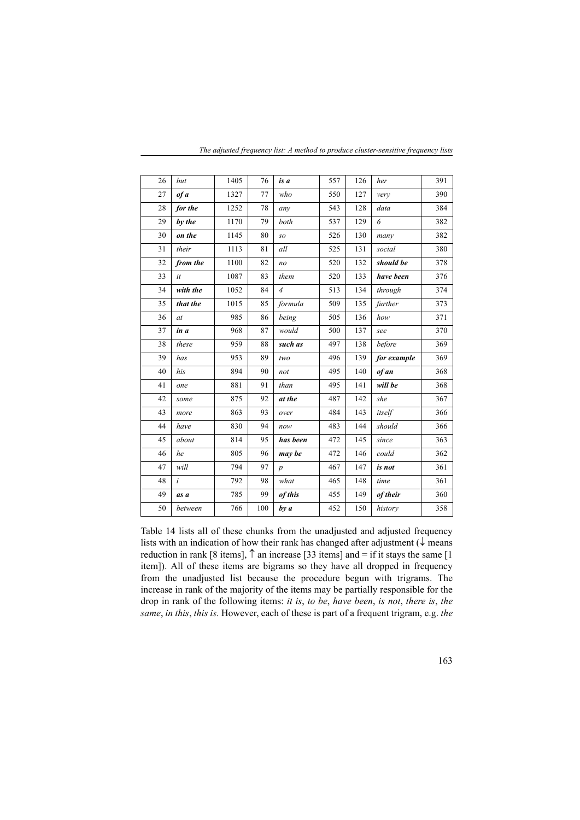| 26 | but      | 1405 | 76  | is a             | 557 | 126 | her         | 391 |
|----|----------|------|-----|------------------|-----|-----|-------------|-----|
| 27 | of a     | 1327 | 77  | who              | 550 | 127 | very        | 390 |
| 28 | for the  | 1252 | 78  | any              | 543 | 128 | data        | 384 |
| 29 | by the   | 1170 | 79  | both             | 537 | 129 | 6           | 382 |
| 30 | on the   | 1145 | 80  | SO               | 526 | 130 | many        | 382 |
| 31 | their    | 1113 | 81  | all              | 525 | 131 | social      | 380 |
| 32 | from the | 1100 | 82  | no               | 520 | 132 | should be   | 378 |
| 33 | it       | 1087 | 83  | them             | 520 | 133 | have been   | 376 |
| 34 | with the | 1052 | 84  | $\overline{4}$   | 513 | 134 | through     | 374 |
| 35 | that the | 1015 | 85  | formula          | 509 | 135 | further     | 373 |
| 36 | at       | 985  | 86  | being            | 505 | 136 | how         | 371 |
| 37 | in a     | 968  | 87  | would            | 500 | 137 | see         | 370 |
| 38 | these    | 959  | 88  | such as          | 497 | 138 | before      | 369 |
| 39 | has      | 953  | 89  | two              | 496 | 139 | for example | 369 |
| 40 | his      | 894  | 90  | not              | 495 | 140 | of an       | 368 |
| 41 | one      | 881  | 91  | than             | 495 | 141 | will be     | 368 |
| 42 | some     | 875  | 92  | at the           | 487 | 142 | she         | 367 |
| 43 | more     | 863  | 93  | over             | 484 | 143 | itself      | 366 |
| 44 | have     | 830  | 94  | now              | 483 | 144 | should      | 366 |
| 45 | about    | 814  | 95  | has been         | 472 | 145 | since       | 363 |
| 46 | he       | 805  | 96  | may be           | 472 | 146 | could       | 362 |
| 47 | will     | 794  | 97  | $\boldsymbol{p}$ | 467 | 147 | is not      | 361 |
| 48 | i        | 792  | 98  | what             | 465 | 148 | time        | 361 |
| 49 | as a     | 785  | 99  | of this          | 455 | 149 | of their    | 360 |
| 50 | between  | 766  | 100 | by a             | 452 | 150 | history     | 358 |

*The adjusted frequency list: A method to produce cluster-sensitive frequency lists*

Table 14 lists all of these chunks from the unadjusted and adjusted frequency lists with an indication of how their rank has changed after adjustment ( $\downarrow$  means reduction in rank [8 items],  $\uparrow$  an increase [33 items] and = if it stays the same [1 item]). All of these items are bigrams so they have all dropped in frequency from the unadjusted list because the procedure begun with trigrams. The increase in rank of the majority of the items may be partially responsible for the drop in rank of the following items: *it is*, *to be*, *have been*, *is not*, *there is*, *the same*, *in this*, *this is*. However, each of these is part of a frequent trigram, e.g. *the*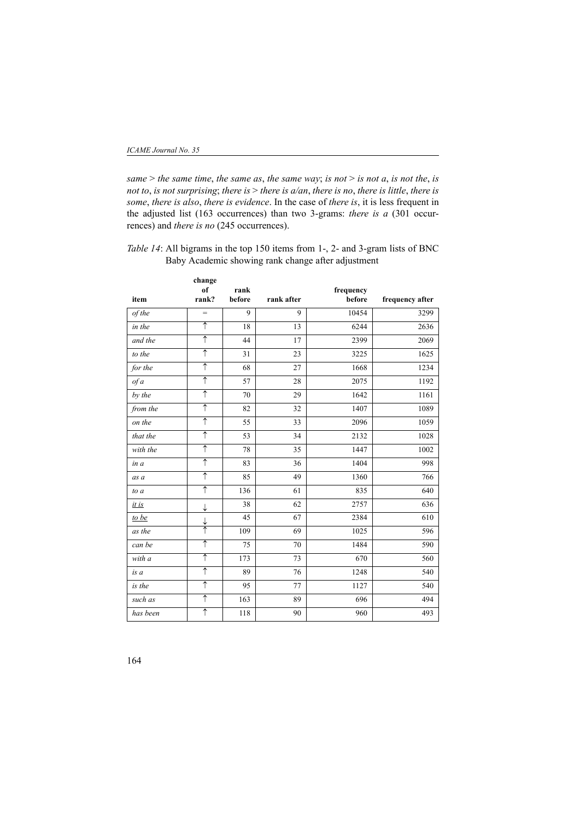*same* > *the same time*, *the same as*, *the same way*; *is not* > *is not a*, *is not the*, *is not to*, *is not surprising*; *there is* > *there is a/an*, *there is no*, *there is little*, *there is some*, *there is also*, *there is evidence*. In the case of *there is*, it is less frequent in the adjusted list (163 occurrences) than two 3-grams: *there is a* (301 occurrences) and *there is no* (245 occurrences).

*Table 14*: All bigrams in the top 150 items from 1-, 2- and 3-gram lists of BNC Baby Academic showing rank change after adjustment

|          | change                |        |            |           |                 |
|----------|-----------------------|--------|------------|-----------|-----------------|
|          | of                    | rank   |            | frequency |                 |
| item     | rank?                 | before | rank after | before    | frequency after |
| of the   | $=$                   | 9      | 9          | 10454     | 3299            |
| in the   | $\overline{\uparrow}$ | 18     | 13         | 6244      | 2636            |
| and the  | ↑                     | 44     | 17         | 2399      | 2069            |
| to the   | ↑                     | 31     | 23         | 3225      | 1625            |
| for the  | $\uparrow$            | 68     | 27         | 1668      | 1234            |
| of a     | $\uparrow$            | 57     | 28         | 2075      | 1192            |
| by the   | $\uparrow$            | 70     | 29         | 1642      | 1161            |
| from the | $\overline{\uparrow}$ | 82     | 32         | 1407      | 1089            |
| on the   | ↑                     | 55     | 33         | 2096      | 1059            |
| that the | $\uparrow$            | 53     | 34         | 2132      | 1028            |
| with the | $\uparrow$            | 78     | 35         | 1447      | 1002            |
| in a     | ↑                     | 83     | 36         | 1404      | 998             |
| as a     | ↑                     | 85     | 49         | 1360      | 766             |
| to a     | ↑                     | 136    | 61         | 835       | 640             |
| it is    | ↓                     | 38     | 62         | 2757      | 636             |
| to be    | ↓                     | 45     | 67         | 2384      | 610             |
| as the   | ↑                     | 109    | 69         | 1025      | 596             |
| can be   | ↑                     | 75     | 70         | 1484      | 590             |
| with a   | $\uparrow$            | 173    | 73         | 670       | 560             |
| is a     | ↑                     | 89     | 76         | 1248      | 540             |
| is the   | $\uparrow$            | 95     | 77         | 1127      | 540             |
| such as  | $\uparrow$            | 163    | 89         | 696       | 494             |
| has been | ↑                     | 118    | 90         | 960       | 493             |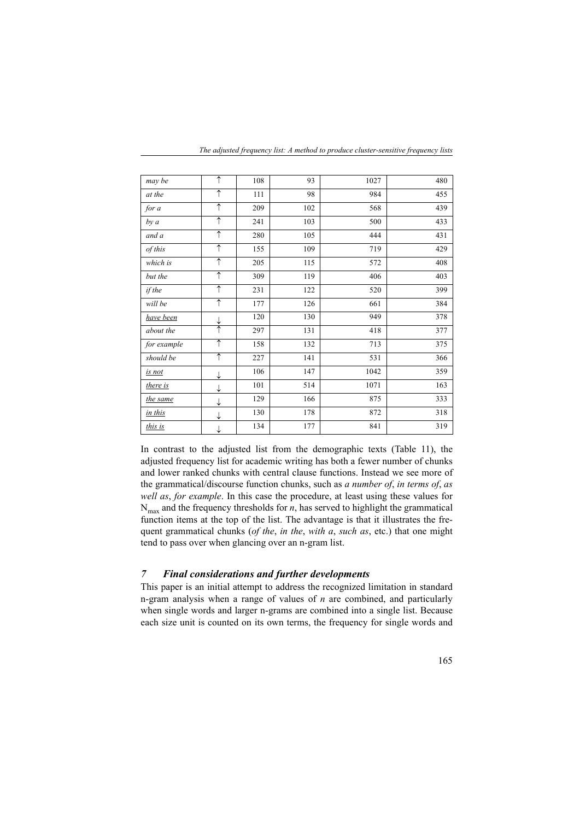| may be      | ↑                    | 108 | 93  | 1027 | 480 |
|-------------|----------------------|-----|-----|------|-----|
| at the      | $\uparrow$           | 111 | 98  | 984  | 455 |
| for a       | $\uparrow$           | 209 | 102 | 568  | 439 |
| by a        | $\uparrow$           | 241 | 103 | 500  | 433 |
| and a       | ↑                    | 280 | 105 | 444  | 431 |
| of this     | ↑                    | 155 | 109 | 719  | 429 |
| which is    | $\uparrow$           | 205 | 115 | 572  | 408 |
| but the     | $\uparrow$           | 309 | 119 | 406  | 403 |
| if the      | $\uparrow$           | 231 | 122 | 520  | 399 |
| will be     | $\uparrow$           | 177 | 126 | 661  | 384 |
| have been   |                      | 120 | 130 | 949  | 378 |
| about the   | $\frac{1}{\uparrow}$ | 297 | 131 | 418  | 377 |
| for example | $\uparrow$           | 158 | 132 | 713  | 375 |
| should be   | $\uparrow$           | 227 | 141 | 531  | 366 |
| is not      | ↓                    | 106 | 147 | 1042 | 359 |
| there is    | ↓                    | 101 | 514 | 1071 | 163 |
| the same    | ↓                    | 129 | 166 | 875  | 333 |
| in this     | ↓                    | 130 | 178 | 872  | 318 |
| this is     | ↓                    | 134 | 177 | 841  | 319 |

*The adjusted frequency list: A method to produce cluster-sensitive frequency lists*

In contrast to the adjusted list from the demographic texts (Table 11), the adjusted frequency list for academic writing has both a fewer number of chunks and lower ranked chunks with central clause functions. Instead we see more of the grammatical/discourse function chunks, such as *a number of*, *in terms of*, *as well as*, *for example*. In this case the procedure, at least using these values for  $N<sub>max</sub>$  and the frequency thresholds for *n*, has served to highlight the grammatical function items at the top of the list. The advantage is that it illustrates the frequent grammatical chunks (*of the*, *in the*, *with a*, *such as*, etc.) that one might tend to pass over when glancing over an n-gram list.

## *7 Final considerations and further developments*

This paper is an initial attempt to address the recognized limitation in standard n-gram analysis when a range of values of *n* are combined, and particularly when single words and larger n-grams are combined into a single list. Because each size unit is counted on its own terms, the frequency for single words and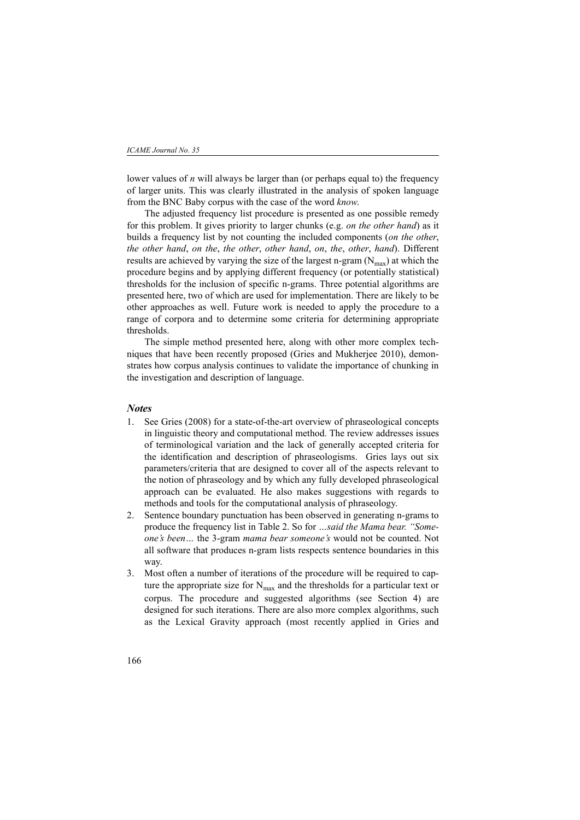lower values of *n* will always be larger than (or perhaps equal to) the frequency of larger units. This was clearly illustrated in the analysis of spoken language from the BNC Baby corpus with the case of the word *know*.

The adjusted frequency list procedure is presented as one possible remedy for this problem. It gives priority to larger chunks (e.g. *on the other hand*) as it builds a frequency list by not counting the included components (*on the other*, *the other hand*, *on the*, *the other*, *other hand*, *on*, *the*, *other*, *hand*). Different results are achieved by varying the size of the largest n-gram  $(N_{\text{max}})$  at which the procedure begins and by applying different frequency (or potentially statistical) thresholds for the inclusion of specific n-grams. Three potential algorithms are presented here, two of which are used for implementation. There are likely to be other approaches as well. Future work is needed to apply the procedure to a range of corpora and to determine some criteria for determining appropriate thresholds.

The simple method presented here, along with other more complex techniques that have been recently proposed (Gries and Mukherjee 2010), demonstrates how corpus analysis continues to validate the importance of chunking in the investigation and description of language.

#### *Notes*

- 1. See Gries (2008) for a state-of-the-art overview of phraseological concepts in linguistic theory and computational method. The review addresses issues of terminological variation and the lack of generally accepted criteria for the identification and description of phraseologisms. Gries lays out six parameters/criteria that are designed to cover all of the aspects relevant to the notion of phraseology and by which any fully developed phraseological approach can be evaluated. He also makes suggestions with regards to methods and tools for the computational analysis of phraseology.
- 2. Sentence boundary punctuation has been observed in generating n-grams to produce the frequency list in Table 2. So for *…said the Mama bear. "Someone's been…* the 3-gram *mama bear someone's* would not be counted. Not all software that produces n-gram lists respects sentence boundaries in this way.
- 3. Most often a number of iterations of the procedure will be required to capture the appropriate size for  $N_{\text{max}}$  and the thresholds for a particular text or corpus. The procedure and suggested algorithms (see Section 4) are designed for such iterations. There are also more complex algorithms, such as the Lexical Gravity approach (most recently applied in Gries and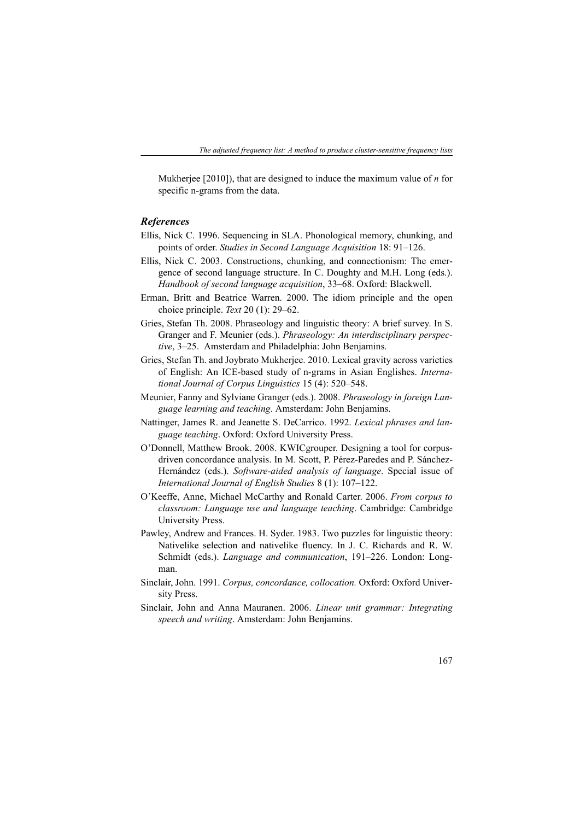Mukherjee [2010]), that are designed to induce the maximum value of *n* for specific n-grams from the data.

### *References*

- Ellis, Nick C. 1996. Sequencing in SLA. Phonological memory, chunking, and points of order. *Studies in Second Language Acquisition* 18: 91–126.
- Ellis, Nick C. 2003. Constructions, chunking, and connectionism: The emergence of second language structure. In C. Doughty and M.H. Long (eds.). *Handbook of second language acquisition*, 33–68. Oxford: Blackwell.
- Erman, Britt and Beatrice Warren. 2000. The idiom principle and the open choice principle. *Text* 20 (1): 29–62.
- Gries, Stefan Th. 2008. Phraseology and linguistic theory: A brief survey. In S. Granger and F. Meunier (eds.). *Phraseology: An interdisciplinary perspective*, 3–25. Amsterdam and Philadelphia: John Benjamins.
- Gries, Stefan Th. and Joybrato Mukherjee. 2010. Lexical gravity across varieties of English: An ICE-based study of n-grams in Asian Englishes. *International Journal of Corpus Linguistics* 15 (4): 520–548.
- Meunier, Fanny and Sylviane Granger (eds.). 2008. *Phraseology in foreign Language learning and teaching*. Amsterdam: John Benjamins.
- Nattinger, James R. and Jeanette S. DeCarrico. 1992. *Lexical phrases and language teaching*. Oxford: Oxford University Press.
- O'Donnell, Matthew Brook. 2008. KWICgrouper. Designing a tool for corpusdriven concordance analysis. In M. Scott, P. Pérez-Paredes and P. Sánchez-Hernández (eds.). *Software-aided analysis of language*. Special issue of *International Journal of English Studies* 8 (1): 107–122.
- O'Keeffe, Anne, Michael McCarthy and Ronald Carter. 2006. *From corpus to classroom: Language use and language teaching*. Cambridge: Cambridge University Press.
- Pawley, Andrew and Frances. H. Syder. 1983. Two puzzles for linguistic theory: Nativelike selection and nativelike fluency. In J. C. Richards and R. W. Schmidt (eds.). *Language and communication*, 191–226. London: Longman.
- Sinclair, John. 1991. *Corpus, concordance, collocation.* Oxford: Oxford University Press.
- Sinclair, John and Anna Mauranen. 2006. *Linear unit grammar: Integrating speech and writing*. Amsterdam: John Benjamins.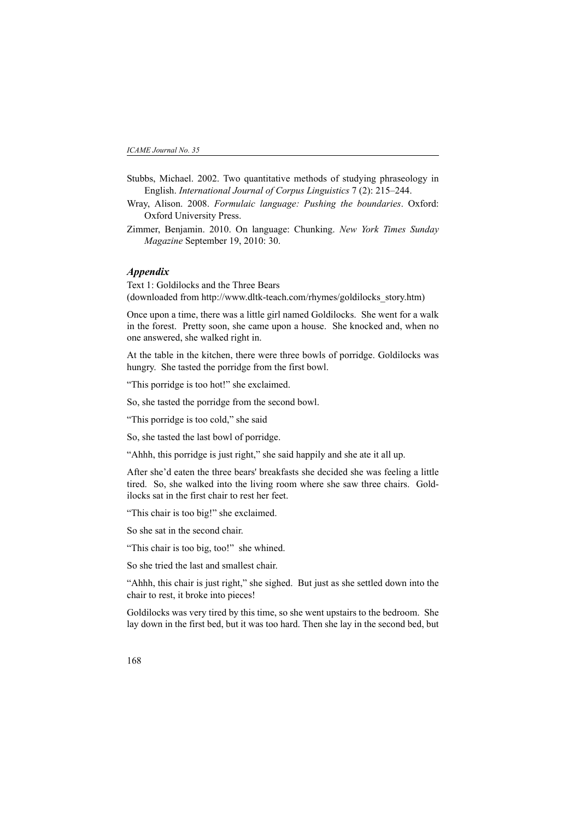- Stubbs, Michael. 2002. Two quantitative methods of studying phraseology in English. *International Journal of Corpus Linguistics* 7 (2): 215–244.
- Wray, Alison. 2008. *Formulaic language: Pushing the boundaries*. Oxford: Oxford University Press.
- Zimmer, Benjamin. 2010. On language: Chunking. *New York Times Sunday Magazine* September 19, 2010: 30.

### *Appendix*

Text 1: Goldilocks and the Three Bears (downloaded from http://www.dltk-teach.com/rhymes/goldilocks\_story.htm)

Once upon a time, there was a little girl named Goldilocks. She went for a walk in the forest. Pretty soon, she came upon a house. She knocked and, when no one answered, she walked right in.

At the table in the kitchen, there were three bowls of porridge. Goldilocks was hungry. She tasted the porridge from the first bowl.

"This porridge is too hot!" she exclaimed.

So, she tasted the porridge from the second bowl.

"This porridge is too cold," she said

So, she tasted the last bowl of porridge.

"Ahhh, this porridge is just right," she said happily and she ate it all up.

After she'd eaten the three bears' breakfasts she decided she was feeling a little tired. So, she walked into the living room where she saw three chairs. Goldilocks sat in the first chair to rest her feet.

"This chair is too big!" she exclaimed.

So she sat in the second chair.

"This chair is too big, too!" she whined.

So she tried the last and smallest chair.

"Ahhh, this chair is just right," she sighed. But just as she settled down into the chair to rest, it broke into pieces!

Goldilocks was very tired by this time, so she went upstairs to the bedroom. She lay down in the first bed, but it was too hard. Then she lay in the second bed, but